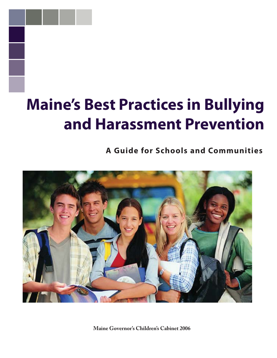# **Maine's Best Practices in Bullying and Harassment Prevention**

**A Guide for Schools and Communities**



**Maine Governor's Children's Cabinet 2006**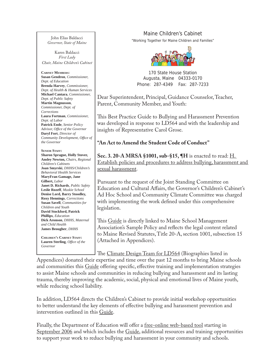John Elias Baldacci *Governor, State of Maine*

Karen Baldacci *First Lady Chair, Maine Children's Cabinet*

**CABINET MEMBERS: Susan Gendron**, *Commissioner, Dept. of Education* **Brenda Harvey**, *Commissioner, Dept. of Health & Human Services* **Michael Cantara**, *Commissioner, Dept. of Public Safety* **Martin Magnusson**, *Commissioner, Dept. of Corrections* **Laura Fortman**, *Commissioner, Dept. of Labor* **Patrick Ende**, *Senior Policy Advisor, Offi ce of the Governor* **Daryl Fort**, *Director of Community Development, Office of the Governor* 

**SENIOR STAFF: Sharon Sprague, Holly Stover, Ansley Newton,** *Chairs, Regional Children's Cabinets* **Joan Smyrski**, *DHHS/Children's Behavioral Health Services* **MaryFran Gamage, Jane Gilbert,** *Labor* **Janet D. Richards**, *Public Safety* **Leslie Rozeff**, *Muskie School* **Denise Lord, Barry Stoodley, Roxy Hennings**, *Corrections* **Susan Savell**, *Communities for Children and Youth* **David Stockford, Patrick Phillips**, *Education* **Dick Aronson**, *DHHS, Maternal and Child Health* **James Beougher**, *DHHS*

**CHILDREN'S CABINET STAFF:** Lauren Sterling, Office of the *Governor*

Maine Children's Cabinet

"Working Together for Maine Children and Families"



170 State House Station Augusta, Maine 04333-0170 Phone: 287-4349 Fax: 287-7233

Dear Superintendent, Principal, Guidance Counselor, Teacher, Parent, Community Member, and Youth:

This Best Practice Guide to Bullying and Harassment Prevention was developed in response to LD564 and with the leadership and insights of Representative Carol Grose.

### **"An Act to Amend the Student Code of Conduct"**

**Sec. 3. 20-A MRSA §1001, sub-§15, ¶H** is enacted to read: H. Establish policies and procedures to address bullying, harassment and sexual harassment.

Pursuant to the request of the Joint Standing Committee on Education and Cultural Affairs, the Governor's Children's Cabinet's Ad Hoc School and Community Climate Committee was charged with implementing the work defined under this comprehensive legislation.

This Guide is directly linked to Maine School Management Association's Sample Policy and reflects the legal content related to Maine Revised Statutes, Title 20-A, section 1001, subsection 15 (Attached in Appendices).

The Climate Design Team for LD564 (Biographies listed in

Appendices) donated their expertise and time over the past 12 months to bring Maine schools and communities this Guide offering specific, effective training and implementation strategies to assist Maine schools and communities in reducing bullying and harassment and its lasting trauma, thereby improving the academic, social, physical and emotional lives of Maine youth, while reducing school liability.

In addition, LD564 directs the Children's Cabinet to provide initial workshop opportunities to better understand the key elements of effective bullying and harassment prevention and intervention outlined in this Guide.

Finally, the Department of Education will offer a <u>free-online web-based tool</u> starting in September 2006 and which includes the Guide, additional resources and training opportunities to support your work to reduce bullying and harassment in your community and schools.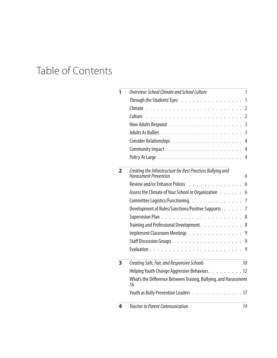## Table of Contents

| 1 | Overview: School Climate and School Culture<br>1                                                 |  |  |  |  |
|---|--------------------------------------------------------------------------------------------------|--|--|--|--|
|   | Through the Students' Eyes<br>1                                                                  |  |  |  |  |
|   | $\overline{2}$                                                                                   |  |  |  |  |
|   | $\overline{2}$                                                                                   |  |  |  |  |
|   | 3                                                                                                |  |  |  |  |
|   | $\overline{3}$                                                                                   |  |  |  |  |
|   | 4                                                                                                |  |  |  |  |
|   | Community Impact<br>4                                                                            |  |  |  |  |
|   | 4                                                                                                |  |  |  |  |
| 2 | Creating the Infrastructure for Best Practices Bullying and<br><b>Harassment Prevention</b><br>6 |  |  |  |  |
|   | Review and/or Enhance Polices<br>6                                                               |  |  |  |  |
|   | Assess the Climate of Your School or Organization<br>6                                           |  |  |  |  |
|   | Committee Logistics/Functioning.<br>$\overline{7}$                                               |  |  |  |  |
|   | Development of Rules/Sanctions/Positive Supports<br>$\overline{7}$                               |  |  |  |  |
|   | .<br>Supervision Plan.<br>8                                                                      |  |  |  |  |
|   | Training and Professional Development.<br>8                                                      |  |  |  |  |
|   | Implement Classroom Meetings<br>9                                                                |  |  |  |  |
|   | Staff Discussion Groups<br>9                                                                     |  |  |  |  |
|   | 9                                                                                                |  |  |  |  |
| 3 | Creating Safe, Fair, and Responsive Schools<br>10                                                |  |  |  |  |
|   | Helping Youth Change Aggressive Behaviors. 12                                                    |  |  |  |  |
|   | What's the Difference Between Teasing, Bullying, and Harassment<br>16                            |  |  |  |  |
|   | Youth as Bully Prevention Leaders 17                                                             |  |  |  |  |
| 4 | <b>Teacher to Parent Communication</b><br>19                                                     |  |  |  |  |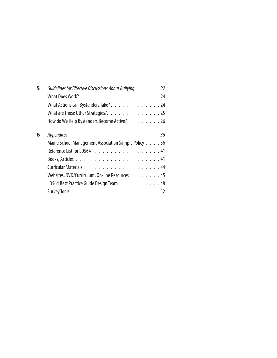| 5 | Guidelines for Effective Discussions About Bullying  | 22 |  |  |  |
|---|------------------------------------------------------|----|--|--|--|
|   |                                                      |    |  |  |  |
|   |                                                      |    |  |  |  |
|   | What Actions can Bystanders Take? 24                 |    |  |  |  |
|   | What are Those Other Strategies?. 25                 |    |  |  |  |
|   | How do We Help Bystanders Become Active? 26          |    |  |  |  |
| 6 | <i>Appendices</i>                                    | 36 |  |  |  |
|   | Maine School Management Association Sample Policy 36 |    |  |  |  |
|   |                                                      |    |  |  |  |
|   |                                                      |    |  |  |  |
|   |                                                      |    |  |  |  |
|   | Websites, DVD/Curriculum, On-line Resources 45       |    |  |  |  |
|   | LD564 Best Practice Guide Design Team. 48            |    |  |  |  |
|   |                                                      |    |  |  |  |
|   |                                                      |    |  |  |  |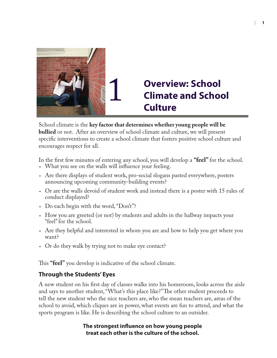

## **Overview: School Climate and School Culture**

School climate is the **key factor that determines whether young people will be bullied** or not. After an overview of school climate and culture, we will present specific interventions to create a school climate that fosters positive school culture and encourages respect for all.

In the first few minutes of entering any school, you will develop a **"feel**" for the school.

- What you see on the walls will influence your feeling.
- Are there displays of student work, pro-social slogans pasted everywhere, posters announcing upcoming community-building events?
- Or are the walls devoid of student work and instead there is a poster with 15 rules of conduct displayed?
- Do each begin with the word, "Don't"? •
- How you are greeted (or not) by students and adults in the hallway impacts your "feel" for the school.
- Are they helpful and interested in whom you are and how to help you get where you want?
- Or do they walk by trying not to make eye contact? •

This **"feel"** you develop is indicative of the school climate.

### **Through the Students' Eyes**

A new student on his first day of classes walks into his homeroom, looks across the aisle and says to another student, "What's this place like?" The other student proceeds to tell the new student who the nice teachers are, who the mean teachers are, areas of the school to avoid, which cliques are in power, what events are fun to attend, and what the sports program is like. He is describing the school culture to an outsider.

### **The strongest infl uence on how young people treat each other is the culture of the school.**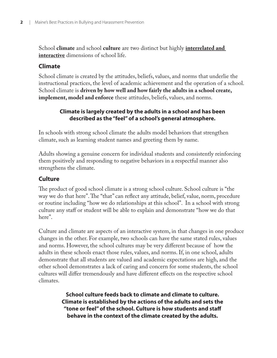School **climate** and school **culture** are two distinct but highly **interrelated and interactive** dimensions of school life.

### **Climate**

School climate is created by the attitudes, beliefs, values, and norms that underlie the instructional practices, the level of academic achievement and the operation of a school. School climate is **driven by how well and how fairly the adults in a school create, implement, model and enforce** these attitudes, beliefs, values, and norms.

### **Climate is largely created by the adults in a school and has been described as the "feel" of a school's general atmosphere.**

In schools with strong school climate the adults model behaviors that strengthen climate, such as learning student names and greeting them by name.

Adults showing a genuine concern for individual students and consistently reinforcing them positively and responding to negative behaviors in a respectful manner also strengthens the climate.

### **Culture**

The product of good school climate is a strong school culture. School culture is "the way we do that here". The "that" can reflect any attitude, belief, value, norm, procedure or routine including "how we do relationships at this school". In a school with strong culture any staff or student will be able to explain and demonstrate "how we do that here".

Culture and climate are aspects of an interactive system, in that changes in one produce changes in the other. For example, two schools can have the same stated rules, values and norms. However, the school cultures may be very different because of how the adults in these schools enact those rules, values, and norms. If, in one school, adults demonstrate that all students are valued and academic expectations are high, and the other school demonstrates a lack of caring and concern for some students, the school cultures will differ tremendously and have different effects on the respective school climates.

> **School culture feeds back to climate and climate to culture. Climate is established by the actions of the adults and sets the "tone or feel" of the school. Culture is how students and staff behave in the context of the climate created by the adults.**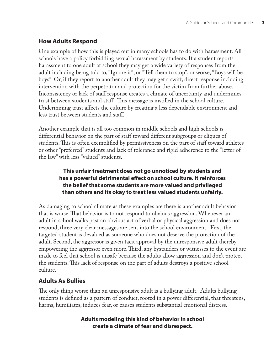### **How Adults Respond**

One example of how this is played out in many schools has to do with harassment. All schools have a policy forbidding sexual harassment by students. If a student reports harassment to one adult at school they may get a wide variety of responses from the adult including being told to, "Ignore it", or "Tell them to stop", or worse, "Boys will be boys". Or, if they report to another adult they may get a swift, direct response including intervention with the perpetrator and protection for the victim from further abuse. Inconsistency or lack of staff response creates a climate of uncertainty and undermines trust between students and staff. This message is instilled in the school culture. Undermining trust affects the culture by creating a less dependable environment and less trust between students and staff.

Another example that is all too common in middle schools and high schools is differential behavior on the part of staff toward different subgroups or cliques of students. This is often exemplified by permissiveness on the part of staff toward athletes or other "preferred" students and lack of tolerance and rigid adherence to the "letter of the law" with less "valued" students.

### **This unfair treatment does not go unnoticed by students and**  has a powerful detrimental effect on school culture. It reinforces **the belief that some students are more valued and privileged than others and its okay to treat less valued students unfairly.**

As damaging to school climate as these examples are there is another adult behavior that is worse. That behavior is to not respond to obvious aggression. Whenever an adult in school walks past an obvious act of verbal or physical aggression and does not respond, three very clear messages are sent into the school environment. First, the targeted student is devalued as someone who does not deserve the protection of the adult. Second, the aggressor is given tacit approval by the unresponsive adult thereby empowering the aggressor even more. Third, any bystanders or witnesses to the event are made to feel that school is unsafe because the adults allow aggression and don't protect the students. This lack of response on the part of adults destroys a positive school culture.

### **Adults As Bullies**

The only thing worse than an unresponsive adult is a bullying adult. Adults bullying students is defined as a pattern of conduct, rooted in a power differential, that threatens, harms, humiliates, induces fear, or causes students substantial emotional distress.

### **Adults modeling this kind of behavior in school create a climate of fear and disrespect.**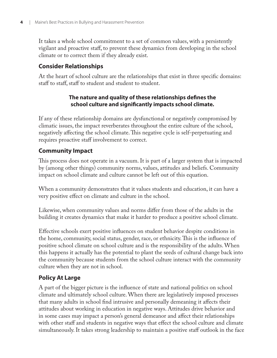It takes a whole school commitment to a set of common values, with a persistently vigilant and proactive staff, to prevent these dynamics from developing in the school climate or to correct them if they already exist.

### **Consider Relationships**

At the heart of school culture are the relationships that exist in three specific domains: staff to staff , staff to student and student to student.

### The nature and quality of these relationships defines the **school culture and signifi cantly impacts school climate.**

If any of these relationship domains are dysfunctional or negatively compromised by climatic issues, the impact reverberates throughout the entire culture of the school, negatively affecting the school climate. This negative cycle is self-perpetuating and requires proactive staff involvement to correct.

### **Community Impact**

This process does not operate in a vacuum. It is part of a larger system that is impacted by (among other things) community norms, values, attitudes and beliefs. Community impact on school climate and culture cannot be left out of this equation.

When a community demonstrates that it values students and education, it can have a very positive effect on climate and culture in the school.

Likewise, when community values and norms differ from those of the adults in the building it creates dynamics that make it harder to produce a positive school climate.

Effective schools exert positive influences on student behavior despite conditions in the home, community, social status, gender, race, or ethnicity. This is the influence of positive school climate on school culture and is the responsibility of the adults. When this happens it actually has the potential to plant the seeds of cultural change back into the community because students from the school culture interact with the community culture when they are not in school.

### **Policy At Large**

A part of the bigger picture is the influence of state and national politics on school climate and ultimately school culture. When there are legislatively imposed processes that many adults in school find intrusive and personally demeaning it affects their attitudes about working in education in negative ways. Attitudes drive behavior and in some cases may impact a person's general demeanor and affect their relationships with other staff and students in negative ways that effect the school culture and climate simultaneously. It takes strong leadership to maintain a positive staff outlook in the face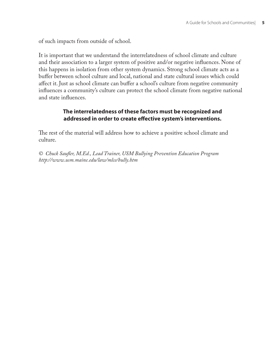of such impacts from outside of school.

It is important that we understand the interrelatedness of school climate and culture and their association to a larger system of positive and/or negative influences. None of this happens in isolation from other system dynamics. Strong school climate acts as a buffer between school culture and local, national and state cultural issues which could affect it. Just as school climate can buffer a school's culture from negative community influences a community's culture can protect the school climate from negative national and state influences.

### **The interrelatedness of these factors must be recognized and addressed in order to create eff ective system's interventions.**

The rest of the material will address how to achieve a positive school climate and culture.

*© Chuck Saufl er, M.Ed., Lead Trainer, USM Bullying Prevention Education Program http://www.usm.maine.edu/law/mlce/bully.htm*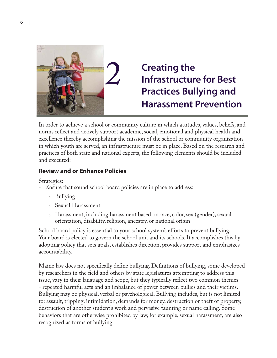

## **Creating the Infrastructure for Best Practices Bullying and Harassment Prevention**

In order to achieve a school or community culture in which attitudes, values, beliefs, and norms reflect and actively support academic, social, emotional and physical health and excellence thereby accomplishing the mission of the school or community organization in which youth are served, an infrastructure must be in place. Based on the research and practices of both state and national experts, the following elements should be included and executed:

### **Review and or Enhance Policies**

Strategies:

- Ensure that sound school board policies are in place to address:
	- 。 Bullying
	- o Sexual Harassment
	- Harassment, including harassment based on race, color, sex (gender), sexual 0orientation, disability, religion, ancestry, or national origin

School board policy is essential to your school system's efforts to prevent bullying. Your board is elected to govern the school unit and its schools. It accomplishes this by adopting policy that sets goals, establishes direction, provides support and emphasizes accountability.

Maine law does not specifically define bullying. Definitions of bullying, some developed by researchers in the field and others by state legislatures attempting to address this issue, vary in their language and scope, but they typically reflect two common themes - repeated harmful acts and an imbalance of power between bullies and their victims. Bullying may be physical, verbal or psychological. Bullying includes, but is not limited to: assault, tripping, intimidation, demands for money, destruction or theft of property, destruction of another student's work and pervasive taunting or name calling. Some behaviors that are otherwise prohibited by law, for example, sexual harassment, are also recognized as forms of bullying.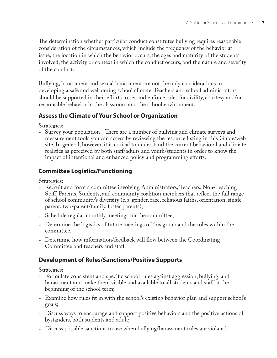The determination whether particular conduct constitutes bullying requires reasonable consideration of the circumstances, which include the frequency of the behavior at issue, the location in which the behavior occurs, the ages and maturity of the students involved, the activity or context in which the conduct occurs, and the nature and severity of the conduct.

Bullying, harassment and sexual harassment are not the only considerations in developing a safe and welcoming school climate. Teachers and school administrators should be supported in their efforts to set and enforce rules for civility, courtesy and/or responsible behavior in the classroom and the school environment.

### **Assess the Climate of Your School or Organization**

Strategies:

• Survey your population - There are a number of bullying and climate surveys and measurement tools you can access by reviewing the resource listing in this Guide/web site. In general, however, it is critical to understand the current behavioral and climate realities as perceived by both staff/adults and youth/students in order to know the impact of intentional and enhanced policy and programming efforts.

### **Committee Logistics/Functioning**

Strategies:

- Recruit and form a committee involving Administrators, Teachers, Non-Teaching Staff, Parents, Students, and community coalition members that reflect the full range of school community's diversity (e.g. gender, race, religious faiths, orientation, single parent, two-parent/family, foster parents);
- Schedule regular monthly meetings for the committee; •
- Determine the logistics of future meetings of this group and the roles within the committee.
- Determine how information/feedback will flow between the Coordinating Committee and teachers and staff.

### **Development of Rules/Sanctions/Positive Supports**

Strategies:

- Formulate consistent and specific school rules against aggression, bullying, and harassment and make them visible and available to all students and staff at the beginning of the school term;
- Examine how rules fit in with the school's existing behavior plan and support school's goals;
- Discuss ways to encourage and support positive behaviors and the positive actions of bystanders, both students and adult;
- Discuss possible sanctions to use when bullying/harassment rules are violated. •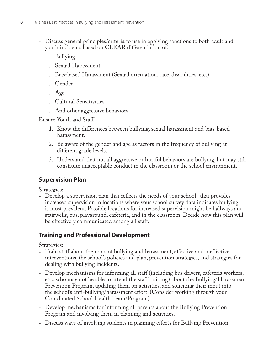- Discuss general principles/criteria to use in applying sanctions to both adult and youth incidents based on CLEAR differentiation of:
	- 。 Bullying
	- Sexual Harassment
	- Bias-based Harassment (Sexual orientation, race, disabilities, etc.) 0
	- 。Gender
	- 。 Age
	- Cultural Sensitivities 0
	- 。 And other aggressive behaviors

Ensure Youth and Staff

- 1. Know the differences between bullying, sexual harassment and bias-based harassment.
- Be aware of the gender and age as factors in the frequency of bullying at 2. different grade levels.
- Understand that not all aggressive or hurtful behaviors are bullying, but may still 3. constitute unacceptable conduct in the classroom or the school environment.

### **Supervision Plan**

Strategies:

• Develop a supervision plan that reflects the needs of your school- that provides increased supervision in locations where your school survey data indicates bullying is most prevalent. Possible locations for increased supervision might be hallways and stairwells, bus, playground, cafeteria, and in the classroom. Decide how this plan will be effectively communicated among all staff.

### **Training and Professional Development**

Strategies:

- Train staff about the roots of bullying and harassment, effective and ineffective interventions, the school's policies and plan, prevention strategies, and strategies for dealing with bullying incidents.
- Develop mechanisms for informing all staff (including bus drivers, cafeteria workers, etc., who may not be able to attend the staff training) about the Bullying/Harassment Prevention Program, updating them on activities, and soliciting their input into the school's anti-bullying/harassment effort. (Consider working through your Coordinated School Health Team/Program).
- Develop mechanisms for informing all parents about the Bullying Prevention Program and involving them in planning and activities.
- Discuss ways of involving students in planning efforts for Bullying Prevention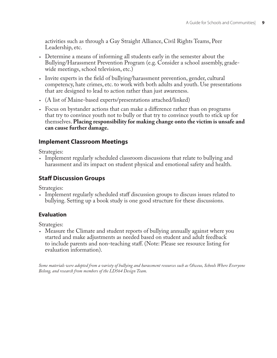activities such as through a Gay Straight Alliance, Civil Rights Teams, Peer Leadership, etc.

- Determine a means of informing all students early in the semester about the Bullying/Harassment Prevention Program (e.g. Consider a school assembly, gradewide meetings, school television, etc.)
- Invite experts in the field of bullying/harassment prevention, gender, cultural competency, hate crimes, etc. to work with both adults and youth. Use presentations that are designed to lead to action rather than just awareness.
- (A list of Maine-based experts/presentations attached/linked) •
- Focus on bystander actions that can make a difference rather than on programs that try to convince youth not to bully or that try to convince youth to stick up for themselves. **Placing responsibility for making change onto the victim is unsafe and can cause further damage.**

### **Implement Classroom Meetings**

Strategies:

Implement regularly scheduled classroom discussions that relate to bullying and • harassment and its impact on student physical and emotional safety and health.

### **Staff Discussion Groups**

Strategies:

• Implement regularly scheduled staff discussion groups to discuss issues related to bullying. Setting up a book study is one good structure for these discussions.

### **Evaluation**

Strategies:

Measure the Climate and student reports of bullying annually against where you •started and make adjustments as needed based on student and adult feedback to include parents and non-teaching staff . (Note: Please see resource listing for evaluation information).

*Some materials were adopted from a variety of bullying and harassment resources such as Olweus, Schools Where Everyone Belong, and research from members of the LD564 Design Team.*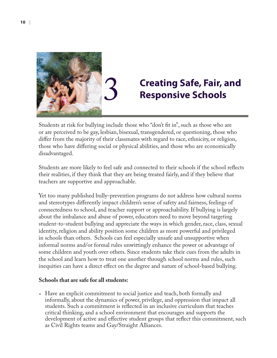

# 3 **Creating Safe, Fair, and Responsive Schools**

Students at risk for bullying include those who "don't fit in", such as those who are or are perceived to be gay, lesbian, bisexual, transgendered, or questioning, those who differ from the majority of their classmates with regard to race, ethnicity, or religion, those who have differing social or physical abilities, and those who are economically disadvantaged.

Students are more likely to feel safe and connected to their schools if the school reflects their realities, if they think that they are being treated fairly, and if they believe that teachers are supportive and approachable.

Yet too many published bully-prevention programs do not address how cultural norms and stereotypes differently impact children's sense of safety and fairness, feelings of connectedness to school, and teacher support or approachability. If bullying is largely about the imbalance and abuse of power, educators need to move beyond targeting student-to-student bullying and appreciate the ways in which gender, race, class, sexual identity, religion and ability position some children as more powerful and privileged in schools than others. Schools can feel especially unsafe and unsupportive when informal norms and/or formal rules unwittingly enhance the power or advantage of some children and youth over others. Since students take their cues from the adults in the school and learn how to treat one another through school norms and rules, such inequities can have a direct effect on the degree and nature of school-based bullying.

### **Schools that are safe for all students:**

Have an explicit commitment to social justice and teach, both formally and •informally, about the dynamics of power, privilege, and oppression that impact all students. Such a commitment is reflected in an inclusive curriculum that teaches critical thinking, and a school environment that encourages and supports the development of active and effective student groups that reflect this commitment, such as Civil Rights teams and Gay/Straight Alliances.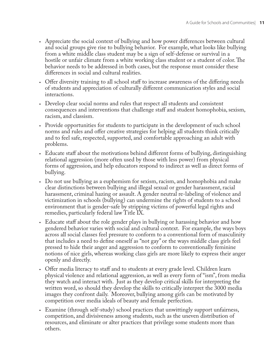- Appreciate the social context of bullying and how power differences between cultural and social groups give rise to bullying behavior. For example, what looks like bullying from a white middle class student may be a sign of self-defense or survival in a hostile or unfair climate from a white working class student or a student of color. The behavior needs to be addressed in both cases, but the response must consider these diff erences in social and cultural realities.
- Offer diversity training to all school staff to increase awareness of the differing needs of students and appreciation of culturally different communication styles and social interactions.
- Develop clear social norms and rules that respect all students and consistent consequences and interventions that challenge staff and student homophobia, sexism, racism, and classism.
- Provide opportunities for students to participate in the development of such school norms and rules and offer creative strategies for helping all students think critically and to feel safe, respected, supported, and comfortable approaching an adult with problems.
- Educate staff about the motivations behind different forms of bullying, distinguishing relational aggression (more often used by those with less power) from physical forms of aggression, and help educators respond to indirect as well as direct forms of bullying.
- Do not use bullying as a euphemism for sexism, racism, and homophobia and make clear distinctions between bullying and illegal sexual or gender harassment, racial harassment, criminal hazing or assault. A gender neutral re-labeling of violence and victimization in schools (bullying) can undermine the rights of students to a school environment that is gender-safe by stripping victims of powerful legal rights and remedies, particularly federal law Title IX.
- Educate staff about the role gender plays in bullying or harassing behavior and how gendered behavior varies with social and cultural context. For example, the ways boys across all social classes feel pressure to conform to a conventional form of masculinity that includes a need to define oneself as "not gay" or the ways middle class girls feel pressed to hide their anger and aggression to conform to conventionally feminine notions of nice girls, whereas working class girls are more likely to express their anger openly and directly.
- Offer media literacy to staff and to students at every grade level. Children learn physical violence and relational aggression, as well as every form of "ism", from media they watch and interact with. Just as they develop critical skills for interpreting the written word, so should they develop the skills to critically interpret the 3000 media images they confront daily. Moreover, bullying among girls can be motivated by competition over media ideals of beauty and female perfection.
- Examine (through self-study) school practices that unwittingly support unfairness, •competition, and divisiveness among students, such as the uneven distribution of resources, and eliminate or alter practices that privilege some students more than others.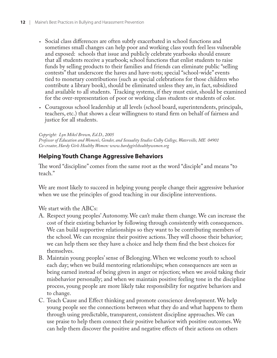- Social class differences are often subtly exacerbated in school functions and sometimes small changes can help poor and working class youth feel less vulnerable and exposed: schools that issue and publicly celebrate yearbooks should ensure that all students receive a yearbook; school functions that enlist students to raise funds by selling products to their families and friends can eliminate public "selling contests" that underscore the haves and have-nots; special "school-wide" events tied to monetary contributions (such as special celebrations for those children who contribute a library book), should be eliminated unless they are, in fact, subsidized and available to all students. Tracking systems, if they must exist, should be examined for the over-representation of poor or working class students or students of color.
- Courageous school leadership at all levels (school board, superintendents, principals, teachers, etc.) that shows a clear willingness to stand firm on behalf of fairness and justice for all students.

*Copyright: Lyn Mikel Brown, Ed.D., 2005 Professor of Education and Women's, Gender, and Sexuality Studies Colby College, Waterville, ME 04901 Co-creator, Hardy Girls Healthy Women: www.hardygirlshealthywomen.org*

### **Helping Youth Change Aggressive Behaviors**

The word "discipline" comes from the same root as the word "disciple" and means "to teach."

We are most likely to succeed in helping young people change their aggressive behavior when we use the principles of good teaching in our discipline interventions.

We start with the ABCs:

- Respect young peoples' Autonomy. We can't make them change. We can increase the A. cost of their existing behavior by following through consistently with consequences. We can build supportive relationships so they want to be contributing members of the school. We can recognize their positive actions. They will choose their behavior; we can help them see they have a choice and help them find the best choices for themselves.
- Maintain young peoples' sense of Belonging. When we welcome youth to school B. each day; when we build mentoring relationships; when consequences are seen as being earned instead of being given in anger or rejection; when we avoid taking their misbehavior personally; and when we maintain positive feeling tone in the discipline process, young people are more likely take responsibility for negative behaviors and to change.
- C. Teach Cause and Effect thinking and promote conscience development. We help young people see the connections between what they do and what happens to them through using predictable, transparent, consistent discipline approaches. We can use praise to help them connect their positive behavior with positive outcomes. We can help them discover the positive and negative effects of their actions on others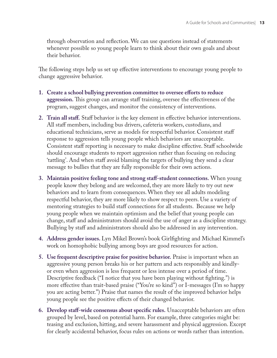through observation and reflection. We can use questions instead of statements whenever possible so young people learn to think about their own goals and about their behavior.

The following steps help us set up effective interventions to encourage young people to change aggressive behavior.

- 1. Create a school bullying prevention committee to oversee efforts to reduce aggression. This group can arrange staff training, oversee the effectiveness of the program, suggest changes, and monitor the consistency of interventions.
- 2. Train all staff. Staff behavior is the key element in effective behavior interventions. All staff members, including bus drivers, cafeteria workers, custodians, and educational technicians, serve as models for respectful behavior. Consistent staff response to aggression tells young people which behaviors are unacceptable. Consistent staff reporting is necessary to make discipline effective. Staff schoolwide should encourage students to report aggression rather than focusing on reducing 'tattling'. And when staff avoid blaming the targets of bullying they send a clear message to bullies that they are fully responsible for their own actions.
- **Maintain positive feeling tone and strong staff -student connections.** When young **3.** people know they belong and are welcomed, they are more likely to try out new behaviors and to learn from consequences. When they see all adults modeling respectful behavior, they are more likely to show respect to peers. Use a variety of mentoring strategies to build staff connections for all students. Because we help young people when we maintain optimism and the belief that young people can change, staff and administrators should avoid the use of anger as a discipline strategy. Bullying by staff and administrators should also be addressed in any intervention.
- 4. Address gender issues. Lyn Mikel Brown's book Girlfighting and Michael Kimmel's work on homophobic bullying among boys are good resources for action.
- **Use frequent descriptive praise for positive behavior.** Praise is important when an **5.** aggressive young person breaks his or her pattern and acts responsibly and kindlyor even when aggression is less frequent or less intense over a period of time. Descriptive feedback ("I notice that you have been playing without fighting.") is more effective than trait-based praise ("You're so kind") or I-messages (I'm so happy you are acting better.") Praise that names the result of the improved behavior helps young people see the positive effects of their changed behavior.
- **6. Develop staff-wide consensus about specific rules.** Unacceptable behaviors are often grouped by level, based on potential harm. For example, three categories might be: teasing and exclusion, hitting, and severe harassment and physical aggression. Except for clearly accidental behavior, focus rules on actions or words rather than intention.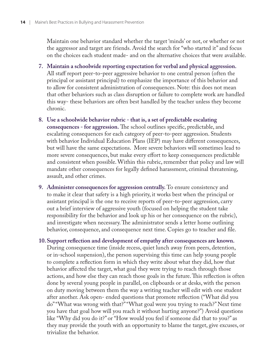Maintain one behavior standard whether the target 'minds' or not, or whether or not the aggressor and target are friends. Avoid the search for "who started it" and focus on the choices each student made- and on the alternative choices that were available.

- **Maintain a schoolwide reporting expectation for verbal and physical aggression. 7.** All staff report peer-to-peer aggressive behavior to one central person (often the principal or assistant principal) to emphasize the importance of this behavior and to allow for consistent administration of consequences. Note: this does not mean that other behaviors such as class disruption or failure to complete work are handled this way- these behaviors are often best handled by the teacher unless they become chronic.
- **Use a schoolwide behavior rubric that is, a set of predictable escalating 8. consequences - for aggression.** The school outlines specific, predictable, and escalating consequences for each category of peer-to-peer aggression. Students with behavior Individual Education Plans (IEP) may have different consequences, but will have the same expectations. More severe behaviors will sometimes lead to more severe consequences, but make every effort to keep consequences predictable and consistent when possible. Within this rubric, remember that policy and law will mandate other consequences for legally defined harassment, criminal threatening, assault, and other crimes.
- **Administer consequences for aggression centrally.** To ensure consistency and **9.** to make it clear that safety is a high priority, it works best when the principal or assistant principal is the one to receive reports of peer-to-peer aggression, carry out a brief interview of aggressive youth (focused on helping the student take responsibility for the behavior and look up his or her consequence on the rubric), and investigate when necessary. The administrator sends a letter home outlining behavior, consequence, and consequence next time. Copies go to teacher and file.

**Support refl ection and development of empathy after consequences are known. 10.**During consequence time (inside recess, quiet lunch away from peers, detention, or in-school suspension), the person supervising this time can help young people to complete a reflection form in which they write about what they did, how that behavior affected the target, what goal they were trying to reach through those actions, and how else they can reach those goals in the future. This reflection is often done by several young people in parallel, on clipboards or at desks, with the person on duty moving between them the way a writing teacher will edit with one student after another. Ask open- ended questions that promote reflection ("What did you do" "What was wrong with that?" "What goal were you trying to reach?" Next time you have that goal how will you reach it without hurting anyone?") Avoid questions like "Why did you do it?" or "How would you feel if someone did that to you?" as they may provide the youth with an opportunity to blame the target, give excuses, or trivialize the behavior.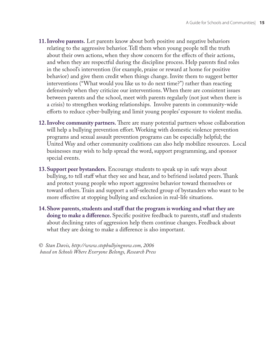- **Involve parents.** Let parents know about both positive and negative behaviors **11.** relating to the aggressive behavior. Tell them when young people tell the truth about their own actions, when they show concern for the effects of their actions, and when they are respectful during the discipline process. Help parents find roles in the school's intervention (for example, praise or reward at home for positive behavior) and give them credit when things change. Invite them to suggest better interventions ("What would you like us to do next time?") rather than reacting defensively when they criticize our interventions. When there are consistent issues between parents and the school, meet with parents regularly (not just when there is a crisis) to strengthen working relationships. Involve parents in community-wide efforts to reduce cyber-bullying and limit young peoples' exposure to violent media.
- **12. Involve community partners.** There are many potential partners whose collaboration will help a bullying prevention effort. Working with domestic violence prevention programs and sexual assault prevention programs can be especially helpful; the United Way and other community coalitions can also help mobilize resources. Local businesses may wish to help spread the word, support programming, and sponsor special events.
- **Support peer bystanders.** Encourage students to speak up in safe ways about **13.** bullying, to tell staff what they see and hear, and to befriend isolated peers. Thank and protect young people who report aggressive behavior toward themselves or toward others. Train and support a self-selected group of bystanders who want to be more effective at stopping bullying and exclusion in real-life situations.
- **Show parents, students and staff that the program is working and what they are 14.doing to make a difference.** Specific positive feedback to parents, staff and students about declining rates of aggression help them continue changes. Feedback about what they are doing to make a difference is also important.

*© Stan Davis, http://www.stopbullyingnow.com, 2006 based on Schools Where Everyone Belongs, Research Press*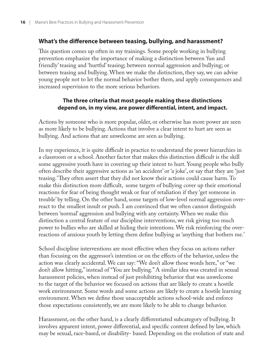### What's the difference between teasing, bullying, and harassment?

This question comes up often in my trainings. Some people working in bullying prevention emphasize the importance of making a distinction between 'fun and friendly' teasing and 'hurtful' teasing; between normal aggression and bullying; or between teasing and bullying. When we make the distinction, they say, we can advise young people not to let the normal behavior bother them, and apply consequences and increased supervision to the more serious behaviors.

### **The three criteria that most people making these distinctions**  depend on, in my view, are power differential, intent, and impact.

Actions by someone who is more popular, older, or otherwise has more power are seen as more likely to be bullying. Actions that involve a clear intent to hurt are seen as bullying. And actions that are unwelcome are seen as bullying.

In my experience, it is quite difficult in practice to understand the power hierarchies in a classroom or a school. Another factor that makes this distinction difficult is the skill some aggressive youth have in covering up their intent to hurt. Young people who bully often describe their aggressive actions as 'an accident' or 'a joke', or say that they are 'just teasing. They often assert that they did not know their actions could cause harm. To make this distinction more difficult, some targets of bullying cover up their emotional reactions for fear of being thought weak or fear of retaliation if they 'get someone in trouble' by telling. On the other hand, some targets of low-level normal aggression overreact to the smallest insult or push. I am convinced that we often cannot distinguish between 'normal' aggression and bullying with any certainty. When we make this distinction a central feature of our discipline interventions, we risk giving too much power to bullies who are skilled at hiding their intentions. We risk reinforcing the overreactions of anxious youth by letting them define bullying as 'anything that bothers me.'

School discipline interventions are most effective when they focus on actions rather than focusing on the aggressor's intention or on the effects of the behavior, unless the action was clearly accidental. We can say: "We don't allow those words here," or "we don't allow hitting," instead of "You are bullying." A similar idea was created in sexual harassment policies, when instead of just prohibiting behavior that was unwelcome to the target of the behavior we focused on actions that are likely to create a hostile work environment. Some words and some actions are likely to create a hostile learning environment. When we define those unacceptable actions school-wide and enforce those expectations consistently, we are more likely to be able to change behavior.

Harassment, on the other hand, is a clearly differentiated subcategory of bullying. It involves apparent intent, power differential, and specific content defined by law, which may be sexual, race-based, or disability- based. Depending on the evolution of state and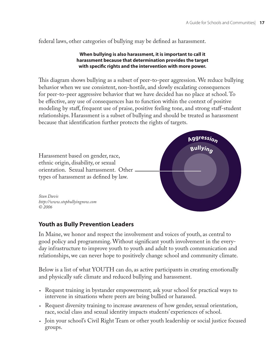federal laws, other categories of bullying may be defined as harassment.

### **When bullying is also harassment, it is important to call it harassment because that determination provides the target**  with specific rights and the intervention with more power.

This diagram shows bullying as a subset of peer-to-peer aggression. We reduce bullying behavior when we use consistent, non-hostile, and slowly escalating consequences for peer-to-peer aggressive behavior that we have decided has no place at school. To be effective, any use of consequences has to function within the context of positive modeling by staff, frequent use of praise, positive feeling tone, and strong staff-student relationships. Harassment is a subset of bullying and should be treated as harassment because that identification further protects the rights of targets.



### **Youth as Bully Prevention Leaders**

In Maine, we honor and respect the involvement and voices of youth, as central to good policy and programming. Without significant youth involvement in the everyday infrastructure to improve youth to youth and adult to youth communication and relationships, we can never hope to positively change school and community climate.

Below is a list of what YOUTH can do, as active participants in creating emotionally and physically safe climate and reduced bullying and harassment.

- Request training in bystander empowerment; ask your school for practical ways to intervene in situations where peers are being bullied or harassed.
- Request diversity training to increase awareness of how gender, sexual orientation, race, social class and sexual identity impacts students' experiences of school.
- Join your school's Civil Right Team or other youth leadership or social justice focused •groups.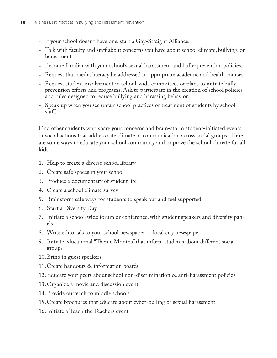- If your school doesn't have one, start a Gay-Straight Alliance. •
- Talk with faculty and staff about concerns you have about school climate, bullying, or harassment.
- Become familiar with your school's sexual harassment and bully-prevention policies.
- Request that media literacy be addressed in appropriate academic and health courses.
- Request student involvement in school-wide committees or plans to initiate bully-• prevention efforts and programs. Ask to participate in the creation of school policies and rules designed to reduce bullying and harassing behavior.
- Speak up when you see unfair school practices or treatment of students by school staff.

Find other students who share your concerns and brain-storm student-initiated events or social actions that address safe climate or communication across social groups. Here are some ways to educate your school community and improve the school climate for all kids!

- 1. Help to create a diverse school library
- 2. Create safe spaces in your school
- Produce a documentary of student life 3.
- Create a school climate survey 4.
- Brainstorm safe ways for students to speak out and feel supported 5.
- 6. Start a Diversity Day
- 7. Initiate a school-wide forum or conference, with student speakers and diversity panels
- Write editorials to your school newspaper or local city newspaper 8.
- 9. Initiate educational "Theme Months" that inform students about different social groups
- 10. Bring in guest speakers
- 11. Create handouts & information boards
- Educate your peers about school non-discrimination & anti-harassment policies 12.
- 13. Organize a movie and discussion event
- 14. Provide outreach to middle schools
- 15. Create brochures that educate about cyber-bulling or sexual harassment
- 16. Initiate a Teach the Teachers event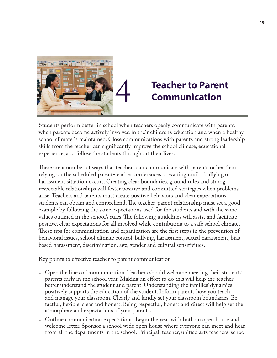

## 4 **Teacher to Parent Communication**

Students perform better in school when teachers openly communicate with parents, when parents become actively involved in their children's education and when a healthy school climate is maintained. Close communications with parents and strong leadership skills from the teacher can significantly improve the school climate, educational experience, and follow the students throughout their lives.

There are a number of ways that teachers can communicate with parents rather than relying on the scheduled parent-teacher conferences or waiting until a bullying or harassment situation occurs. Creating clear boundaries, ground rules and strong respectable relationships will foster positive and committed strategies when problems arise. Teachers and parents must create positive behaviors and clear expectations students can obtain and comprehend. The teacher-parent relationship must set a good example by following the same expectations used for the students and with the same values outlined in the school's rules. The following guidelines will assist and facilitate positive, clear expectations for all involved while contributing to a safe school climate. These tips for communication and organization are the first steps in the prevention of behavioral issues, school climate control, bullying, harassment, sexual harassment, biasbased harassment, discrimination, age, gender and cultural sensitivities.

Key points to effective teacher to parent communication

- Open the lines of communication: Teachers should welcome meeting their students' parents early in the school year. Making an effort to do this will help the teacher better understand the student and parent. Understanding the families' dynamics positively supports the education of the student. Inform parents how you teach and manage your classroom. Clearly and kindly set your classroom boundaries. Be tactful, flexible, clear and honest. Being respectful, honest and direct will help set the atmosphere and expectations of your parents.
- Outline communication expectations: Begin the year with both an open house and welcome letter. Sponsor a school wide open house where everyone can meet and hear from all the departments in the school. Principal, teacher, unified arts teachers, school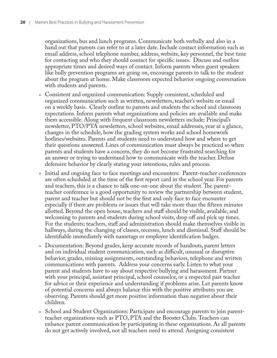organizations, bus and lunch programs. Communicate both verbally and also in a hand out that parents can refer to at a later date. Include contact information such as email address, school telephone number, address, website, key personnel, the best time for contacting and who they should contact for specific issues. Discuss and outline appropriate times and desired ways of contact. Inform parents when guest speakers like bully prevention programs are going on, encourage parents to talk to the student about the program at home. Make classroom expected behavior ongoing conversation with students and parents.

- Consistent and organized communication: Supply consistent, scheduled and organized communication such as written, newsletters, teacher's website or email on a weekly basis. Clearly outline to parents and students the school and classroom expectations. Inform parents what organizations and policies are available and make them accessible. Along with frequent classroom newsletters include: Principal's newsletter, PTO/PTA newsletters, school websites, email addresses, year at a glance, changes in the schedule, how the grading system works and school homework hotlines/websites. Parents and students need to understand how and where to get their questions answered. Lines of communication must always be practiced so when parents and students have a concern, they do not become frustrated searching for an answer or trying to understand how to communicate with the teacher. Defuse defensive behavior by clearly stating your intentions, rules and process.
- Initial and ongoing face to face meetings and encounters: Parent-teacher conferences are often scheduled at the time of the first report card in the school year. For parents and teachers, this is a chance to talk one-on-one about the student. The parentteacher conference is a good opportunity to review the partnership between student, parent and teacher but should not be the first and only face to face encounter especially if there are problems or issues that will take more than the fifteen minutes allotted. Beyond the open house, teachers and staff should be visible, available, and welcoming to parents and students during school visits, drop off and pick up times. For the students; teachers, staff and administration should make themselves visible in hallways, during the changing of classes, recesses, lunch and dismissal. Staff should be identifiable immediately with nametags or employee identification badges.
- Documentation: Beyond grades, keep accurate records of handouts, parent letters and on individual student communication, such as difficult, unusual or disruptive behavior, grades, missing assignments, outstanding behaviors, telephone and written communications with parents. Address your concerns early. Listen to what your parent and students have to say about respective bullying and harassment. Partner with your principal, assistant principal, school counselor, or a respected past teacher for advice or their experience and understanding if problems arise. Let parents know of potential concerns and always balance this with the positive attributes you are observing. Parents should get more positive information than negative about their children.
- School and Student Organizations: Participate and encourage parents to join parent-•teacher organizations such as PTO, PTA and the Booster Clubs. Teachers can enhance parent communication by participating in these organizations. As all parents do not get actively involved, not all teachers need to attend. Assigning consistent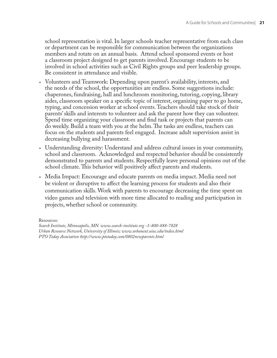school representation is vital. In larger schools teacher representative from each class or department can be responsible for communication between the organizations members and rotate on an annual basis. Attend school sponsored events or host a classroom project designed to get parents involved. Encourage students to be involved in school activities such as Civil Rights groups and peer leadership groups. Be consistent in attendance and visible.

- Volunteers and Teamwork: Depending upon parent's availability, interests, and the needs of the school, the opportunities are endless. Some suggestions include: chaperones, fundraising, hall and lunchroom monitoring, tutoring, copying, library aides, classroom speaker on a specific topic of interest, organizing paper to go home, typing, and concession worker at school events. Teachers should take stock of their parents' skills and interests to volunteer and ask the parent how they can volunteer. Spend time organizing your classroom and find task or projects that parents can do weekly. Build a team with you at the helm. The tasks are endless, teachers can focus on the students and parents feel engaged. Increase adult supervision assist in decreasing bullying and harassment.
- Understanding diversity: Understand and address cultural issues in your community, school and classroom. Acknowledged and respected behavior should be consistently demonstrated to parents and students. Respectfully leave personal opinions out of the school climate. This behavior will positively affect parents and students.
- Media Impact: Encourage and educate parents on media impact. Media need not •be violent or disruptive to affect the learning process for students and also their communication skills. Work with parents to encourage decreasing the time spent on video games and television with more time allocated to reading and participation in projects, whether school or community.

Resources: *Search Institute, Minneapolis, MN. www.search-institute.org -1-800-888-7828 Urban Resource Network, University of Illinois; www.urbanext.uiuc.edu/index.html PTO Today Association http://www.ptotoday.com/0802newparents.html*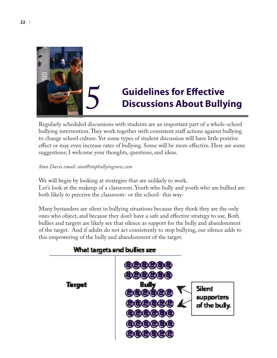

# **5** Guidelines for Effective<br>Discussions About Bully **Discussions About Bullying**

Regularly scheduled discussions with students are an important part of a whole-school bullying intervention. They work together with consistent staff actions against bullying to change school culture. Yet some types of student discussion will have little positive effect or may even increase rates of bullying. Some will be more effective. Here are some suggestions; I welcome your thoughts, questions, and ideas.

### *Stan Davis email: stan@stopbullyingnow.com*

We will begin by looking at strategies that are unlikely to work. Let's look at the makeup of a classroom. Youth who bully and youth who are bullied are both likely to perceive the classroom- or the school- this way:

Many bystanders are silent in bullying situations because they think they are the only ones who object, and because they don't have a safe and effective strategy to use. Both bullies and targets are likely see that silence as support for the bully and abandonment of the target. And if adults do not act consistently to stop bullying, our silence adds to this empowering of the bully and abandonment of the target.



### What targets and bullies see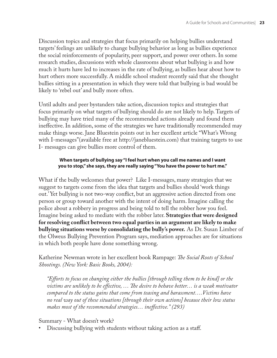Discussion topics and strategies that focus primarily on helping bullies understand targets' feelings are unlikely to change bullying behavior as long as bullies experience the social reinforcements of popularity, peer support, and power over others. In some research studies, discussions with whole classrooms about what bullying is and how much it hurts have led to increases in the rate of bullying, as bullies hear about how to hurt others more successfully. A middle school student recently said that she thought bullies sitting in a presentation in which they were told that bullying is bad would be likely to 'rebel out' and bully more often.

Until adults and peer bystanders take action, discussion topics and strategies that focus primarily on what targets of bullying should do are not likely to help. Targets of bullying may have tried many of the recommended actions already and found them ineffective. In addition, some of the strategies we have traditionally recommended may make things worse. Jane Bluestein points out in her excellent article "What's Wrong with I-messages" (available free at http://janebluestein.com) that training targets to use I- messages can give bullies more control of them.

### **When targets of bullying say "I feel hurt when you call me names and I want you to stop," she says, they are really saying "You have the power to hurt me."**

What if the bully welcomes that power? Like I-messages, many strategies that we suggest to targets come from the idea that targets and bullies should 'work things out.' Yet bullying is not two-way conflict, but an aggressive action directed from one person or group toward another with the intent of doing harm. Imagine calling the police about a robbery in progress and being told to tell the robber how you feel. Imagine being asked to mediate with the robber later. **Strategies that were designed for resolving confl ict between two equal parties in an argument are likely to make bullying situations worse by consolidating the bully's power.** As Dr. Susan Limber of the Olweus Bullying Prevention Program says, mediation approaches are for situations in which both people have done something wrong.

Katherine Newman wrote in her excellent book Rampage: *The Social Roots of School Shootings. (New York: Basic Books, 2004):* 

*"Eff orts to focus on changing either the bullies [through telling them to be kind] or the*  victims are unlikely to be effective, ... The desire to behave better... is a weak motivator *compared to the status gains that come from teasing and harassment….Victims have no real way out of these situations [through their own actions] because their low status makes most of the recommended strategies… ineff ective." (293)*

### Summary - What doesn't work?

Discussing bullying with students without taking action as a staff.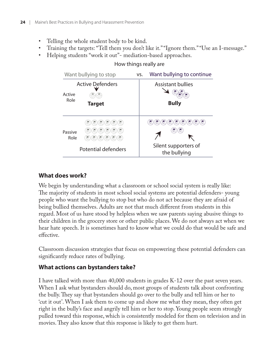- Telling the whole student body to be kind. •
- Training the targets: "Tell them you don't like it." "Ignore them." "Use an I-message." •
- Helping students "work it out"- mediation-based approaches. •

| Want bullying to stop |                                                                        | VS. | Want bullying to continue                                                                                                                                    |
|-----------------------|------------------------------------------------------------------------|-----|--------------------------------------------------------------------------------------------------------------------------------------------------------------|
| Active<br>Role        | <b>Active Defenders</b><br>Target                                      |     | <b>Assistant bullies</b><br><b>Bully</b>                                                                                                                     |
| Passive<br>Role       | B,<br>* 遗; .<br>B,<br>75.<br>B.<br>S<br>È,<br>B<br>Potential defenders |     | $\cdot$ ( $\bigoplus_{j=1}^{\infty}$ )<br>$\mathbb{Z}$<br>$\mathcal{E}$<br>B,<br>2<br>පි<br>B,<br>$\mathcal{B}$<br>☝<br>Silent supporters of<br>the bullying |

### How things really are

### **What does work?**

We begin by understanding what a classroom or school social system is really like: The majority of students in most school social systems are potential defenders-young people who want the bullying to stop but who do not act because they are afraid of being bullied themselves. Adults are not that much different from students in this regard. Most of us have stood by helpless when we saw parents saying abusive things to their children in the grocery store or other public places. We do not always act when we hear hate speech. It is sometimes hard to know what we could do that would be safe and effective.

Classroom discussion strategies that focus on empowering these potential defenders can significantly reduce rates of bullying.

### **What actions can bystanders take?**

I have talked with more than 40,000 students in grades K-12 over the past seven years. When I ask what bystanders should do, most groups of students talk about confronting the bully. They say that bystanders should go over to the bully and tell him or her to 'cut it out'. When I ask them to come up and show me what they mean, they often get right in the bully's face and angrily tell him or her to stop. Young people seem strongly pulled toward this response, which is consistently modeled for them on television and in movies. They also know that this response is likely to get them hurt.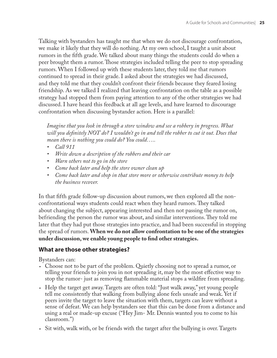Talking with bystanders has taught me that when we do not discourage confrontation, we make it likely that they will do nothing. At my own school, I taught a unit about rumors in the fifth grade. We talked about many things the students could do when a peer brought them a rumor. Those strategies included telling the peer to stop spreading rumors. When I followed up with these students later, they told me that rumors continued to spread in their grade. I asked about the strategies we had discussed, and they told me that they couldn't confront their friends because they feared losing friendship. As we talked I realized that leaving confrontation on the table as a possible strategy had stopped them from paying attention to any of the other strategies we had discussed. I have heard this feedback at all age levels, and have learned to discourage confrontation when discussing bystander action. Here is a parallel:

*Imagine that you look in through a store window and see a robbery in progress. What*  will you definitely NOT do? I wouldn't go in and tell the robber to cut it out. Does that *mean there is nothing you could do? You could…..*

- *Call 911 •*
- *Write down a description of the robbers and their car •*
- *Warn others not to go in the store •*
- *Come back later and help the store owner clean up •*
- *Come back later and shop in that store more or otherwise contribute money to help the business recover. •*

In that fifth grade follow-up discussion about rumors, we then explored all the nonconfrontational ways students could react when they heard rumors. They talked about changing the subject, appearing interested and then not passing the rumor on, befriending the person the rumor was about, and similar interventions. They told me later that they had put those strategies into practice, and had been successful in stopping the spread of rumors. **When we do not allow confrontation to be one of the strategies**  under discussion, we enable young people to find other strategies.

### **What are those other strategies?**

Bystanders can:

- Choose not to be part of the problem. Quietly choosing not to spread a rumor, or telling your friends to join you in not spreading it, may be the most effective way to stop the rumor- just as removing flammable material stops a wildfire from spreading.
- Help the target get away. Targets are often told: "Just walk away," yet young people tell me consistently that walking from bullying alone feels unsafe and weak. Yet if peers invite the target to leave the situation with them, targets can leave without a sense of defeat. We can help bystanders see that this can be done from a distance and using a real or made-up excuse ("Hey Jim- Mr. Dennis wanted you to come to his classroom.")
- Sit with, walk with, or be friends with the target after the bullying is over. Targets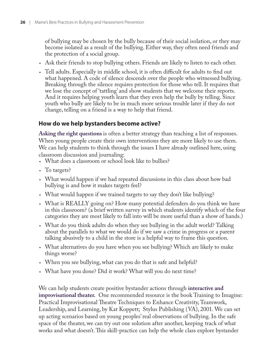of bullying may be chosen by the bully because of their social isolation, or they may become isolated as a result of the bullying. Either way, they often need friends and the protection of a social group.

- Ask their friends to stop bullying others. Friends are likely to listen to each other. •
- Tell adults. Especially in middle school, it is often difficult for adults to find out what happened. A code of silence descends over the people who witnessed bullying. Breaking through the silence requires protection for those who tell. It requires that we lose the concept of 'tattling' and show students that we welcome their reports. And it requires helping youth learn that they even help the bully by telling. Since youth who bully are likely to be in much more serious trouble later if they do not change, telling on a friend is a way to help that friend.

### **How do we help bystanders become active?**

**Asking the right questions** is often a better strategy than teaching a list of responses. When young people create their own interventions they are more likely to use them. We can help students to think through the issues I have already outlined here, using classroom discussion and journaling:

- What does a classroom or school look like to bullies? •
- To targets?
- What would happen if we had repeated discussions in this class about how bad bullying is and how it makes targets feel?
- What would happen if we trained targets to say they don't like bullying? •
- What is REALLY going on? How many potential defenders do you think we have in this classroom? (a brief written survey in which students identify which of the four categories they are most likely to fall into will be more useful than a show of hands.)
- What do you think adults do when they see bullying in the adult world? Talking about the parallels to what we would do if we saw a crime in progress or a parent talking abusively to a child in the store is a helpful way to frame this question.
- What alternatives do you have when you see bullying? Which are likely to make things worse?
- When you see bullying, what can you do that is safe and helpful? •
- What have you done? Did it work? What will you do next time? •

We can help students create positive bystander actions through **interactive and improvisational theater.** One recommended resource is the book Training to Imagine: Practical Improvisational Theatre Techniques to Enhance Creativity, Teamwork, Leadership, and Learning, by Kat Koppett; Stylus Publishing (VA), 2001. We can set up acting scenarios based on young peoples' real observations of bullying. In the safe space of the theater, we can try out one solution after another, keeping track of what works and what doesn't. This skill-practice can help the whole class explore bystander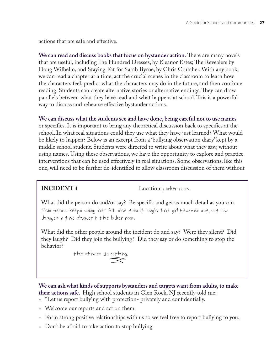actions that are safe and effective.

We can read and discuss books that focus on bystander action. There are many novels that are useful, including The Hundred Dresses, by Eleanor Estes; The Revealers by Doug Wilhelm, and Staying Fat for Sarah Byrne, by Chris Crutcher. With any book, we can read a chapter at a time, act the crucial scenes in the classroom to learn how the characters feel, predict what the characters may do in the future, and then continue reading. Students can create alternative stories or alternative endings. They can draw parallels between what they have read and what happens at school. This is a powerful way to discuss and rehearse effective bystander actions.

### **We can discuss what the students see and have done, being careful not to use names**

or specifics. It is important to bring any theoretical discussion back to specifics at the school. In what real situations could they use what they have just learned? What would be likely to happen? Below is an excerpt from a 'bullying observation diary' kept by a middle school student. Students were directed to write about what they saw, without using names. Using these observations, we have the opportunity to explore and practice interventions that can be used effectively in real situations. Some observations, like this one, will need to be further de-identified to allow classroom discussion of them without

**INCIDENT 4** Location: Locker room.

What did the person do and/or say? Be specific and get as much detail as you can. this person keeps calling her fat she doesn't laugh the girl becomes sad, and now changes in the shower in the locker room

What did the other people around the incident do and say? Were they silent? Did they laugh? Did they join the bullying? Did they say or do something to stop the behavior?

the others do nothing.

**We can ask what kinds of supports bystanders and targets want from adults, to make their actions safe.** High school students in Glen Rock, NJ recently told me:

- "Let us report bullying with protection- privately and confidentially.
- Welcome our reports and act on them. •
- Form strong positive relationships with us so we feel free to report bullying to you. •
- Don't be afraid to take action to stop bullying.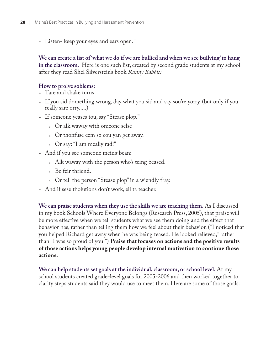Listen- keep your eyes and ears open." •

**We can create a list of 'what we do if we are bullied and when we see bullying' to hang in the classroom**. Here is one such list, created by second grade students at my school after they read Shel Silverstein's book *Runny Babbit:*

### **How to prolve soblems:**

- Tare and shake turns
- If you sid domething wrong, day what you sid and say sou're yorry. (but only if you really sare orry.....)
- If someone yeases tou, say "Stease plop."
	- $\circ~$  Or alk waway with omeone selse
	- Or thonfuse cem so cou yan get away. 0
	- Or say: "I am meally rad!" 0
- And if you see someone meing bean:
	- Alk waway with the person who's teing beased. 0
	- Be feir thriend. 0
	- Or tell the person "Stease plop" in a wiendly fray. 0
- And if sese tholutions don't work, ell ta teacher. •

**We can praise students when they use the skills we are teaching them.** As I discussed in my book Schools Where Everyone Belongs (Research Press, 2005), that praise will be more effective when we tell students what we see them doing and the effect that behavior has, rather than telling them how we feel about their behavior. ("I noticed that you helped Richard get away when he was being teased. He looked relieved," rather than "I was so proud of you.") **Praise that focuses on actions and the positive results of those actions helps young people develop internal motivation to continue those actions.**

**We can help students set goals at the individual, classroom, or school level.** At my school students created grade-level goals for 2005-2006 and then worked together to clarify steps students said they would use to meet them. Here are some of those goals: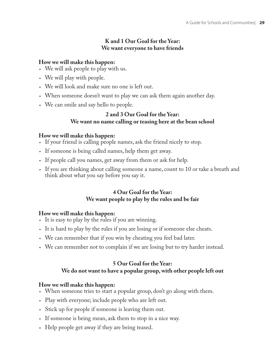### **K and 1 Our Goal for the Year: We want everyone to have friends**

### **How we will make this happen:**

- We will ask people to play with us. •
- We will play with people. •
- We will look and make sure no one is left out. •
- When someone doesn't want to play we can ask them again another day. •
- We can smile and say hello to people. •

### **2 and 3 Our Goal for the Year: We want no name calling or teasing here at the bean school**

### **How we will make this happen:**

- If your friend is calling people names, ask the friend nicely to stop.
- If someone is being called names, help them get away.
- If people call you names, get away from them or ask for help. •
- If you are thinking about calling someone a name, count to 10 or take a breath and think about what you say before you say it.

### **4 Our Goal for the Year: We want people to play by the rules and be fair**

### **How we will make this happen:**

- It is easy to play by the rules if you are winning. •
- It is hard to play by the rules if you are losing or if someone else cheats. •
- We can remember that if you win by cheating you feel bad later. •
- We can remember not to complain if we are losing but to try harder instead. •

### **5 Our Goal for the Year: We do not want to have a popular group, with other people left out**

### **How we will make this happen:**

- When someone tries to start a popular group, don't go along with them. •
- Play with everyone; include people who are left out. •
- Stick up for people if someone is leaving them out.
- If someone is being mean, ask them to stop in a nice way.
- Help people get away if they are being teased.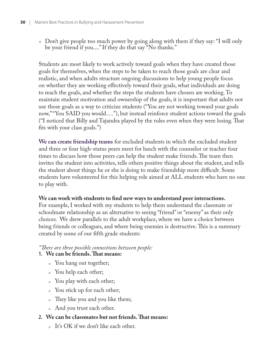• Don't give people too much power by going along with them if they say: "I will only be your friend if you...." If they do that say "No thanks."

Students are most likely to work actively toward goals when they have created those goals for themselves, when the steps to be taken to reach those goals are clear and realistic, and when adults structure ongoing discussions to help young people focus on whether they are working effectively toward their goals, what individuals are doing to reach the goals, and whether the steps the students have chosen are working. To maintain student motivation and ownership of the goals, it is important that adults not use those goals as a way to criticize students ("You are not working toward your goals now," "You SAID you would…."), but instead reinforce student actions toward the goals ("I noticed that Billy and Tajandra played by the rules even when they were losing. That fits with your class goals.")

**We can create friendship teams** for excluded students in which the excluded student and three or four high-status peers meet for lunch with the counselor or teacher four times to discuss how those peers can help the student make friends. The team then invites the student into activities, tells others positive things about the student, and tells the student about things he or she is doing to make friendship more difficult. Some students have volunteered for this helping role aimed at ALL students who have no one to play with.

### We can work with students to find new ways to understand peer interactions.

For example, I worked with my students to help them understand the classmate or schoolmate relationship as an alternative to seeing "friend" or "enemy" as their only choices. We drew parallels to the adult workplace, where we have a choice between being friends or colleagues, and where being enemies is destructive. This is a summary created by some of our fifth grade students:

### *"Th ere are three possible connections between people:*

### 1. We can be friends. That means:

- 。 You hang out together;
- You help each other; 0
- You play with each other;
- You stick up for each other;  $\circ$
- They like you and you like them;  $\circ$
- 。 And you trust each other.
- 2. We can be classmates but not friends. That means:
	- It's OK if we don't like each other. 0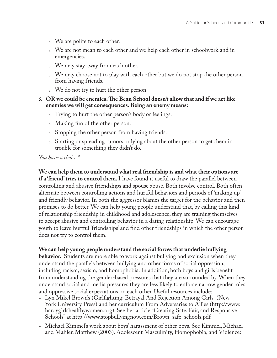- We are polite to each other. 0
- $\circ$  We are not mean to each other and we help each other in schoolwork and in emergencies.
- 。 We may stay away from each other.
- We may choose not to play with each other but we do not stop the other person 0 from having friends.
- We do not try to hurt the other person. 0

### 3. OR we could be enemies. The Bean School doesn't allow that and if we act like **enemies we will get consequences. Being an enemy means:**

- Trying to hurt the other person's body or feelings. 0
- Making fun of the other person. 0
- Stopping the other person from having friends. 0
- Starting or spreading rumors or lying about the other person to get them in 0 trouble for something they didn't do.

*You have a choice."*

**We can help them to understand what real friendship is and what their options are if a 'friend' tries to control them.** I have found it useful to draw the parallel between controlling and abusive friendships and spouse abuse. Both involve control. Both often alternate between controlling actions and hurtful behaviors and periods of 'making up' and friendly behavior. In both the aggressor blames the target for the behavior and then promises to do better. We can help young people understand that, by calling this kind of relationship friendship in childhood and adolescence, they are training themselves to accept abusive and controlling behavior in a dating relationship. We can encourage youth to leave hurtful 'friendships' and find other friendships in which the other person does not try to control them.

### **We can help young people understand the social forces that underlie bullying**

**behavior.** Students are more able to work against bullying and exclusion when they understand the parallels between bullying and other forms of social oppression, including racism, sexism, and homophobia. In addition, both boys and girls benefit from understanding the gender-based pressures that they are surrounded by. When they understand social and media pressures they are less likely to enforce narrow gender roles and oppressive social expectations on each other. Useful resources include:

- Lyn Mikel Brown's (Girlfighting: Betrayal And Rejection Among Girls (New York University Press) and her curriculum From Adversaries to Allies (http://www. hardygirlshealthywomen.org). See her article "Creating Safe, Fair, and Responsive Schools" at http://www.stopbullyingnow.com/Brown\_safe\_schools.pdf
- Michael Kimmel's work about boys' harassment of other boys. See Kimmel, Michael •and Mahler, Matthew (2003). Adolescent Masculinity, Homophobia, and Violence: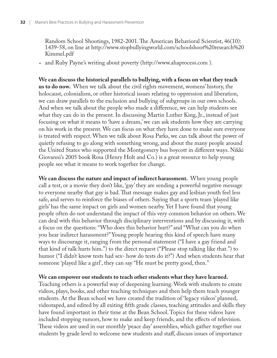Random School Shootings, 1982-2001. The American Behavioral Scientist, 46(10): 1439-58, on line at http://www.stopbullyingworld.com/schoolshoot%20research%20 Kimmel.pdf

and Ruby Payne's writing about poverty (http://www.ahaprocess.com ). •

**We can discuss the historical parallels to bullying, with a focus on what they teach us to do now.** When we talk about the civil rights movement, womens' history, the holocaust, colonialism, or other historical issues relating to oppression and liberation, we can draw parallels to the exclusion and bullying of subgroups in our own schools. And when we talk about the people who made a difference, we can help students see what they can do in the present. In discussing Martin Luther King, Jr., instead of just focusing on what it means to 'have a dream,' we can ask students how they are carrying on his work in the present. We can focus on what they have done to make sure everyone is treated with respect. When we talk about Rosa Parks, we can talk about the power of quietly refusing to go along with something wrong, and about the many people around the United States who supported the Montgomery bus boycott in different ways. Nikki Giovanni's 2005 book Rosa (Henry Holt and Co.) is a great resource to help young people see what it means to work together for change.

**We can discuss the nature and impact of indirect harassment.** When young people call a test, or a movie they don't like, 'gay' they are sending a powerful negative message to everyone nearby that gay is bad. That message makes gay and lesbian youth feel less safe, and serves to reinforce the biases of others. Saying that a sports team 'played like girls' has the same impact on girls and women nearby. Yet I have found that young people often do not understand the impact of this very common behavior on others. We can deal with this behavior through disciplinary interventions and by discussing it, with a focus on the questions: "Who does this behavior hurt?" and "What can you do when you hear indirect harassment?" Young people hearing this kind of speech have many ways to discourage it, ranging from the personal statement ("I have a gay friend and that kind of talk hurts him.") to the direct request ("Please stop talking like that.") to humor ("I didn't know tests had sex- how do tests do it?") And when students hear that someone 'played like a girl', they can say "He must be pretty good, then."

### **We can empower our students to teach other students what they have learned.**

Teaching others is a powerful way of deepening learning. Work with students to create videos, plays, books, and other teaching techniques and then help them teach younger students. At the Bean school we have created the tradition of 'legacy videos' planned, videotaped, and edited by all exiting fifth grade classes, teaching attitudes and skills they have found important in their time at the Bean School. Topics for these videos have included stopping rumors, how to make and keep friends, and the effects of television. These videos are used in our monthly 'peace day' assemblies, which gather together our students by grade level to welcome new students and staff, discuss issues of importance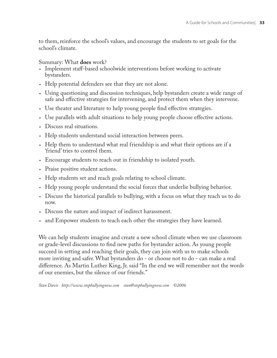to them, reinforce the school's values, and encourage the students to set goals for the school's climate.

Summary: What **does** work?

- Implement staff-based schoolwide interventions before working to activate bystanders.
- Help potential defenders see that they are not alone.
- Using questioning and discussion techniques, help bystanders create a wide range of safe and effective strategies for intervening, and protect them when they intervene.
- Use theater and literature to help young people find effective strategies.
- Use parallels with adult situations to help young people choose effective actions.
- Discuss real situations.
- Help students understand social interaction between peers.
- Help them to understand what real friendship is and what their options are if a 'friend' tries to control them.
- Encourage students to reach out in friendship to isolated youth. •
- Praise positive student actions.
- Help students set and reach goals relating to school climate.
- Help young people understand the social forces that underlie bullying behavior. •
- Discuss the historical parallels to bullying, with a focus on what they teach us to do now.
- Discuss the nature and impact of indirect harassment. •
- and Empower students to teach each other the strategies they have learned.

We can help students imagine and create a new school climate when we use classroom or grade-level discussions to find new paths for bystander action. As young people succeed in setting and reaching their goals, they can join with us to make schools more inviting and safer. What bystanders do - or choose not to do - can make a real difference. As Martin Luther King, Jr. said "In the end we will remember not the words of our enemies, but the silence of our friends."

*Stan Davis http://www.stopbullyingnow.com stan@stopbullyingnow.com ©2006*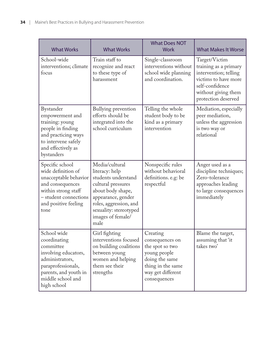| <b>What Works</b>                                                                                                                                                      | <b>What Works</b>                                                                                                                                                                                         | <b>What Does NOT</b><br><b>Work</b>                                                                                                        | <b>What Makes It Worse</b>                                                                                                                               |
|------------------------------------------------------------------------------------------------------------------------------------------------------------------------|-----------------------------------------------------------------------------------------------------------------------------------------------------------------------------------------------------------|--------------------------------------------------------------------------------------------------------------------------------------------|----------------------------------------------------------------------------------------------------------------------------------------------------------|
| School-wide<br>interventions; climate<br>focus                                                                                                                         | Train staff to<br>recognize and react<br>to these type of<br>harassment                                                                                                                                   | Single-classroom<br>interventions without<br>school wide planning<br>and coordination.                                                     | Target/Victim<br>training as a primary<br>intervention; telling<br>victims to have more<br>self-confidence<br>without giving them<br>protection deserved |
| Bystander<br>empowerment and<br>training: young<br>people in finding<br>and practicing ways<br>to intervene safely<br>and effectively as<br>bystanders                 | Bullying prevention<br>efforts should be<br>integrated into the<br>school curriculum                                                                                                                      | Telling the whole<br>student body to be<br>kind as a primary<br>intervention                                                               | Mediation, especially<br>peer mediation,<br>unless the aggression<br>is two way or<br>relational                                                         |
| Specific school<br>wide definition of<br>unacceptable behavior<br>and consequences<br>within strong staff<br>- student connections<br>and positive feeling<br>tone     | Media/cultural<br>literacy: help<br>students understand<br>cultural pressures<br>about body shape,<br>appearance, gender<br>roles, aggression, and<br>sexuality: stereotyped<br>images of female/<br>male | Nonspecific rules<br>without behavioral<br>definitions. e.g: be<br>respectful                                                              | Anger used as a<br>discipline techniques;<br>Zero-tolerance<br>approaches leading<br>to large consequences<br>immediately                                |
| School wide<br>coordinating<br>committee<br>involving educators,<br>administrators,<br>paraprofessionals,<br>parents, and youth in<br>middle school and<br>high school | Girl fighting<br>interventions focused<br>on building coalitions<br>between young<br>women and helping<br>them see their<br>strengths                                                                     | Creating<br>consequences on<br>the spot so two<br>young people<br>doing the same<br>thing in the same<br>way get different<br>consequences | Blame the target,<br>assuming that 'it<br>takes two'                                                                                                     |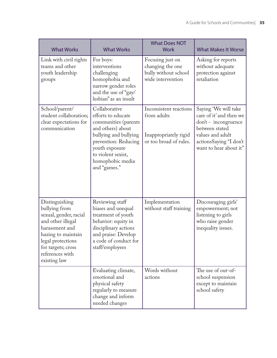| <b>What Works</b>                                                                                                                                                                                    | <b>What Works</b>                                                                                                                                                                                             | <b>What Does NOT</b><br><b>Work</b>                                                      | <b>What Makes It Worse</b>                                                                                                                                        |
|------------------------------------------------------------------------------------------------------------------------------------------------------------------------------------------------------|---------------------------------------------------------------------------------------------------------------------------------------------------------------------------------------------------------------|------------------------------------------------------------------------------------------|-------------------------------------------------------------------------------------------------------------------------------------------------------------------|
| Link with civil rights<br>teams and other<br>youth leadership<br>groups                                                                                                                              | For boys:<br>interventions<br>challenging<br>homophobia and<br>narrow gender roles<br>and the use of "gay/<br>lesbian" as an insult                                                                           | Focusing just on<br>changing the one<br>bully without school<br>wide intervention        | Asking for reports<br>without adequate<br>protection against<br>retaliation                                                                                       |
| School/parent/<br>student collaboration;<br>clear expectations for<br>communication                                                                                                                  | Collaborative<br>efforts to educate<br>communities (parents<br>and others) about<br>bullying and bullying<br>prevention: Reducing<br>youth exposure<br>to violent sexist,<br>homophobic media<br>and "games." | Inconsistent reactions<br>from adults<br>Inappropriately rigid<br>or too broad of rules. | Saying 'We will take<br>care of it' and then we<br>don't - incongruence<br>between stated<br>values and adult<br>actionsSaying "I don't<br>want to hear about it" |
| Distinguishing<br>bullying from<br>sexual, gender, racial<br>and other illegal<br>harassment and<br>hazing to maintain<br>legal protections<br>for targets; cross<br>references with<br>existing law | Reviewing staff<br>biases and unequal<br>treatment of youth<br>behavior: equity in<br>disciplinary actions<br>and praise: Develop<br>a code of conduct for<br>staff/employees                                 | Implementation<br>without staff training                                                 | Discouraging girls'<br>empowerment; not<br>listening to girls<br>who raise gender<br>inequality issues.                                                           |
|                                                                                                                                                                                                      | Evaluating climate,<br>emotional and<br>physical safety<br>regularly to measure<br>change and inform<br>needed changes                                                                                        | Words without<br>actions                                                                 | The use of out-of-<br>school suspension<br>except to maintain<br>school safety                                                                                    |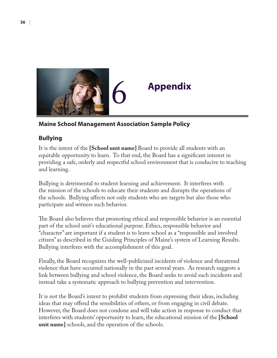

## 6 **Appendix**

### **Maine School Management Association Sample Policy**

### **Bullying**

It is the intent of the **[School unit name]** Board to provide all students with an equitable opportunity to learn. To that end, the Board has a significant interest in providing a safe, orderly and respectful school environment that is conducive to teaching and learning.

Bullying is detrimental to student learning and achievement. It interferes with the mission of the schools to educate their students and disrupts the operations of the schools. Bullying affects not only students who are targets but also those who participate and witness such behavior.

The Board also believes that promoting ethical and responsible behavior is an essential part of the school unit's educational purpose. Ethics, responsible behavior and "character" are important if a student is to leave school as a "responsible and involved citizen" as described in the Guiding Principles of Maine's system of Learning Results. Bullying interferes with the accomplishment of this goal.

Finally, the Board recognizes the well-publicized incidents of violence and threatened violence that have occurred nationally in the past several years. As research suggests a link between bullying and school violence, the Board seeks to avoid such incidents and instead take a systematic approach to bullying prevention and intervention.

It is not the Board's intent to prohibit students from expressing their ideas, including ideas that may offend the sensibilities of others, or from engaging in civil debate. However, the Board does not condone and will take action in response to conduct that interferes with students' opportunity to learn, the educational mission of the **[School unit name]** schools, and the operation of the schools.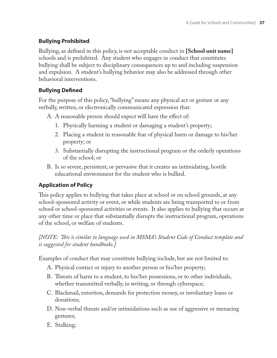### **Bullying Prohibited**

Bullying, as defined in this policy, is not acceptable conduct in [School unit name] schools and is prohibited. Any student who engages in conduct that constitutes bullying shall be subject to disciplinary consequences up to and including suspension and expulsion. A student's bullying behavior may also be addressed through other behavioral interventions.

### **Bullying Defined**

For the purpose of this policy, "bullying" means any physical act or gesture or any verbally, written, or electronically communicated expression that:

A. A reasonable person should expect will have the effect of:

- Physically harming a student or damaging a student's property; 1.
- Placing a student in reasonable fear of physical harm or damage to his/her 2. property; or
- Substantially disrupting the instructional program or the orderly operations 3. of the school; or
- Is so severe, persistent, or pervasive that it creates an intimidating, hostile B. educational environment for the student who is bullied.

### **Application of Policy**

This policy applies to bullying that takes place at school or on school grounds, at any school-sponsored activity or event, or while students are being transported to or from school or school-sponsored activities or events. It also applies to bullying that occurs at any other time or place that substantially disrupts the instructional program, operations of the school, or welfare of students.

### *[NOTE: This is similar to language used in MSMA's Student Code of Conduct template and is suggested for student handbooks.]*

Examples of conduct that may constitute bullying include, but are not limited to:

- Physical contact or injury to another person or his/her property; A.
- B. Threats of harm to a student, to his/her possessions, or to other individuals, whether transmitted verbally, in writing, or through cyberspace;
- Blackmail, extortion, demands for protection money, or involuntary loans or C. donations;
- Non-verbal threats and/or intimidations such as use of aggressive or menacing D. gestures;
- E. Stalking;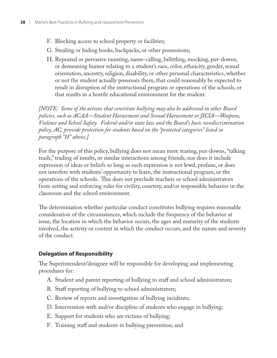- F. Blocking access to school property or facilities;
- Stealing or hiding books, backpacks, or other possessions; G.
- Repeated or pervasive taunting, name-calling, belittling, mocking, put-downs, H. or demeaning humor relating to a student's race, color, ethnicity, gender, sexual orientation, ancestry, religion, disability, or other personal characteristics, whether or not the student actually possesses them, that could reasonably be expected to result in disruption of the instructional program or operations of the schools, or that results in a hostile educational environment for the student.

*[NOTE: Some of the actions that constitute bullying may also be addressed in other Board policies, such as ACAA—Student Harassment and Sexual Harassment or JICIA—Weapons, Violence and School Safety. Federal and/or state law and the Board's basic nondiscrimination policy, AC, provide protection for students based on the "protected categories" listed in paragraph "H" above.]*

For the purpose of this policy, bullying does not mean mere teasing, put-downs, "talking trash," trading of insults, or similar interactions among friends, nor does it include expression of ideas or beliefs so long as such expression is not lewd, profane, or does not interfere with students' opportunity to learn, the instructional program, or the operations of the schools. This does not preclude teachers or school administrators from setting and enforcing rules for civility, courtesy, and/or responsible behavior in the classroom and the school environment.

The determination whether particular conduct constitutes bullying requires reasonable consideration of the circumstances, which include the frequency of the behavior at issue, the location in which the behavior occurs, the ages and maturity of the students involved, the activity or context in which the conduct occurs, and the nature and severity of the conduct.

### **Delegation of Responsibility**

The Superintendent/designee will be responsible for developing and implementing procedures for:

- Student and parent reporting of bullying to staff and school administrators; A.
- Staff reporting of bullying to school administrators; B.
- Review of reports and investigation of bullying incidents; C.
- Intervention with and/or discipline of students who engage in bullying; D.
- E. Support for students who are victims of bullying;
- F. Training staff and students in bullying prevention; and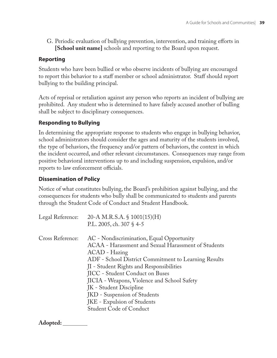G. Periodic evaluation of bullying prevention, intervention, and training efforts in **[School unit name]** schools and reporting to the Board upon request.

### **Reporting**

Students who have been bullied or who observe incidents of bullying are encouraged to report this behavior to a staff member or school administrator. Staff should report bullying to the building principal.

Acts of reprisal or retaliation against any person who reports an incident of bullying are prohibited. Any student who is determined to have falsely accused another of bulling shall be subject to disciplinary consequences.

### **Responding to Bullying**

In determining the appropriate response to students who engage in bullying behavior, school administrators should consider the ages and maturity of the students involved, the type of behaviors, the frequency and/or pattern of behaviors, the context in which the incident occurred, and other relevant circumstances. Consequences may range from positive behavioral interventions up to and including suspension, expulsion, and/or reports to law enforcement officials.

### **Dissemination of Policy**

Notice of what constitutes bullying, the Board's prohibition against bullying, and the consequences for students who bully shall be communicated to students and parents through the Student Code of Conduct and Student Handbook.

| Legal Reference: | 20-A M.R.S.A. $\S$ 1001(15)(H)<br>P.L. 2005, ch. 307 $\S$ 4-5                                                                                                                                                                                                                                                                                                                                                                       |
|------------------|-------------------------------------------------------------------------------------------------------------------------------------------------------------------------------------------------------------------------------------------------------------------------------------------------------------------------------------------------------------------------------------------------------------------------------------|
| Cross Reference: | AC - Nondiscrimination, Equal Opportunity<br>ACAA - Harassment and Sexual Harassment of Students<br>ACAD - Hazing<br>ADF - School District Commitment to Learning Results<br>JI - Student Rights and Responsibilities<br>JICC - Student Conduct on Buses<br>JICIA - Weapons, Violence and School Safety<br>JK - Student Discipline<br>JKD - Suspension of Students<br>JKE - Expulsion of Students<br><b>Student Code of Conduct</b> |

**Adopted:**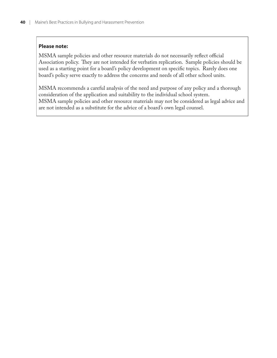### **Please note:**

MSMA sample policies and other resource materials do not necessarily reflect official Association policy. They are not intended for verbatim replication. Sample policies should be used as a starting point for a board's policy development on specific topics. Rarely does one board's policy serve exactly to address the concerns and needs of all other school units.

MSMA recommends a careful analysis of the need and purpose of any policy and a thorough consideration of the application and suitability to the individual school system. MSMA sample policies and other resource materials may not be considered as legal advice and are not intended as a substitute for the advice of a board's own legal counsel.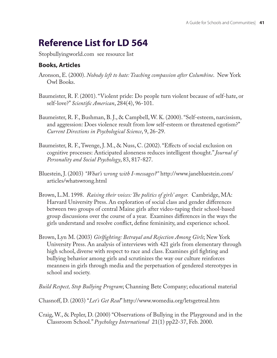## **Reference List for LD 564**

Stopbullyingworld.com see resource list

### **Books, Articles**

- Aronson, E. (2000). *Nobody left to hate: Teaching compassion after Columbine*. New York Owl Books.
- Baumeister, R. F. (2001). "Violent pride: Do people turn violent because of self-hate, or self-love?" *Scientifi c American*, 284(4), 96-101.
- Baumeister, R. F., Bushman, B. J., & Campbell, W. K. (2000). "Self-esteem, narcissism, and aggression: Does violence result from low self-esteem or threatened egotism?" *Current Directions in Psychological Science*, 9, 26-29.
- Baumeister, R. F., Twenge, J. M., & Nuss, C. (2002). "Effects of social exclusion on cognitive processes: Anticipated aloneness reduces intelligent thought." *Journal of Personality and Social Psychology*, 83, 817-827.
- Bluestein, J. (2003) *"What's wrong with I-messages?"* http://www.janebluestein.com/ articles/whatswrong.html
- Brown, L.M. 1998. *Raising their voices: The politics of girls' anger.* Cambridge, MA: Harvard University Press. An exploration of social class and gender differences between two groups of central Maine girls after video-taping their school-based group discussions over the course of a year. Examines differences in the ways the girls understand and resolve conflict, define femininity, and experience school.
- Brown, Lyn M. (2003) *Girlfighting: Betrayal and Rejection Among Girls*; New York University Press. An analysis of interviews with 421 girls from elementary through high school, diverse with respect to race and class. Examines girl fighting and bullying behavior among girls and scrutinizes the way our culture reinforces meanness in girls through media and the perpetuation of gendered stereotypes in school and society.
- *Build Respect, Stop Bullying Program*; Channing Bete Company; educational material
- Chasnoff , D. (2003) "*Let's Get Real*" http://www.womedia.org/letsgetreal.htm
- Craig, W., & Pepler, D. (2000) "Observations of Bullying in the Playground and in the Classroom School." *Psychology International* 21(1) pp22-37, Feb. 2000.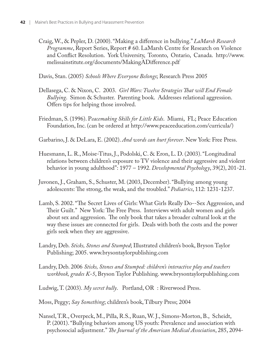Craig, W., & Pepler, D. (2000). "Making a difference in bullying." *LaMarsh Research Programme*, Report Series, Report # 60. LaMarsh Centre for Research on Violence and Conflict Resolution. York University, Toronto, Ontario, Canada. http://www. melissainstitute.org/documents/MakingADifference.pdf

Davis, Stan. (2005) *Schools Where Everyone Belongs*; Research Press 2005

- Dellasega, C. & Nixon, C. 2003. *Girl Wars: Twelve Strategies That will End Female Bullying*. Simon & Schuster. Parenting book. Addresses relational aggression. Offers tips for helping those involved.
- Friedman, S. (1996). P*eacemaking Skills for Little Kids*. Miami, FL; Peace Education Foundation, Inc. (can be ordered at http://www.peaceeducation.com/curricula/)
- Garbarino, J. & DeLara, E. (2002). *And words can hurt forever*. New York: Free Press.
- Huesmann, L. R., Moise-Titus, J., Podolski, C. & Eron, L. D. (2003). "Longitudinal relations between children's exposure to TV violence and their aggressive and violent behavior in young adulthood": 1977 – 1992. *Developmental Psychology*, 39(2), 201-21.
- Juvonen, J., Graham, S., Schuster, M. (2003, December). "Bullying among young adolescents: The strong, the weak, and the troubled." *Pediatrics*, 112: 1231-1237.
- Lamb, S. 2002. "The Secret Lives of Girls: What Girls Really Do--Sex Aggression, and Their Guilt." New York: The Free Press. Interviews with adult women and girls about sex and aggression. The only book that takes a broader cultural look at the way these issues are connected for girls. Deals with both the costs and the power girls seek when they are aggressive.
- Landry, Deb. *Sticks, Stones and Stumped*; Illustrated children's book, Bryson Taylor Publishing; 2005. www.brysontaylorpublishing.com
- Landry, Deb. 2006 *Sticks, Stones and Stumped: children's interactive play and teachers workbook, grades K-5*, Bryson Taylor Publishing. www.brysontaylorpublishing.com
- Ludwig, T. (2003). *My secret bully*. Portland, OR : Riverwood Press.
- Moss, Peggy; *Say Something*; children's book, Tilbury Press; 2004
- Nansel, T.R., Overpeck, M., Pilla, R.S., Ruan, W. J., Simons-Morton, B., Scheidt, P. (2001). "Bullying behaviors among US youth: Prevalence and association with psychosocial adjustment." *The Journal of the American Medical Association*, 285, 2094-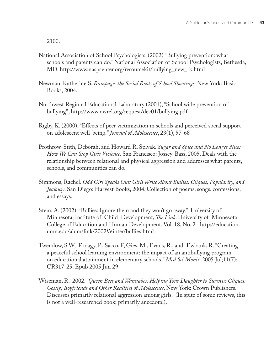2100.

- National Association of School Psychologists. (2002) "Bullying prevention: what schools and parents can do." National Association of School Psychologists, Bethesda, MD. http://www.naspcenter.org/resourcekit/bullying\_new\_rk.html
- Newman, Katherine S. *Rampage: the Social Roots of School Shootings*. New York: Basic Books, 2004.
- Northwest Regional Educational Laboratory (2001), "School wide prevention of bullying", http://www.nwrel.org/request/dec01/bullying.pdf
- Rigby, K. (2000). "Effects of peer victimization in schools and perceived social support on adolescent well-being." *Journal of Adolescence*, 23(1), 57-68
- Prothrow-Stith, Deborah, and Howard R. Spivak. *Sugar and Spice and No Longer Nice: How We Can Stop Girls Violence*. San Francisco: Jossey-Bass, 2005. Deals with the relationship between relational and physical aggression and addresses what parents, schools, and communities can do.
- Simmons, Rachel. *Odd Girl Speaks Out: Girls Write About Bullies, Cliques, Popularity, and Jealousy*. San Diego: Harvest Books, 2004. Collection of poems, songs, confessions, and essays.
- Stein, A. (2002). "Bullies: Ignore them and they won't go away." University of Minnesota, Institute of Child Development, *The Link*. University of Minnesota College of Education and Human Development. Vol. 18, No. 2 http://education. umn.edu/alum/link/2002Winter/bullies.html
- Twemlow, S.W, Fonagy, P., Sacco, F, Gies, M., Evans, R., and Ewbank, R. "Creating a peaceful school learning environment: the impact of an antibullying program on educational attainment in elementary schools." *Med Sci Monit*. 2005 Jul;11(7): CR317-25. Epub 2005 Jun 29
- Wiseman, R. 2002. *Queen Bees and Wannabes: Helping Your Daughter to Survive Cliques, Gossip, Boyfriends and Other Realities of Adolescence*. New York: Crown Publishers. Discusses primarily relational aggression among girls. (In spite of some reviews, this is not a well-researched book; primarily anecdotal).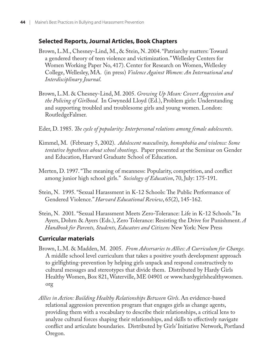### **Selected Reports, Journal Articles, Book Chapters**

- Brown, L.M., Chesney-Lind, M., & Stein, N. 2004. "Patriarchy matters: Toward a gendered theory of teen violence and victimization." Wellesley Centers for Women Working Paper No, 417). Center for Research on Women, Wellesley College, Wellesley, MA. (in press) *Violence Against Women: An International and Interdisciplinary Journal*.
- Brown, L.M. & Chesney-Lind, M. 2005. *Growing Up Mean: Covert Aggression and the Policing of Girlhood*. In Gwynedd Lloyd (Ed.), Problem girls: Understanding and supporting troubled and troublesome girls and young women. London: RoutledgeFalmer.
- Eder, D. 1985. *The cycle of popularity: Interpersonal relations among female adolescents*.
- Kimmel, M. (February 5, 2002). *Adolescent masculinity, homophobia and violence: Some tentative hypotheses about school shootings*. Paper presented at the Seminar on Gender and Education, Harvard Graduate School of Education.
- Merten, D. 1997. "The meaning of meanness: Popularity, competition, and conflict among junior high school girls." *Sociology of Education*, 70, July: 175-191.
- Stein, N. 1995. "Sexual Harassment in K-12 Schools: The Public Performance of Gendered Violence." *Harvard Educational Review*, 65(2), 145-162.
- Stein, N. 2001. "Sexual Harassment Meets Zero-Tolerance: Life in K-12 Schools." In Ayers, Dohrn & Ayers (Eds.), Zero Tolerance: Resisting the Drive for Punishment. *A Handbook for Parents, Students, Educators and Citizens* New York: New Press

### **Curricular materials**

- Brown, L.M. & Madden, M. 2005. *From Adversaries to Allies: A Curriculum for Change*. A middle school level curriculum that takes a positive youth development approach to girlfighting-prevention by helping girls unpack and respond constructively to cultural messages and stereotypes that divide them. Distributed by Hardy Girls Healthy Women, Box 821, Waterville, ME 04901 or www.hardygirlshealthywomen. org
- *Allies in Action: Building Healthy Relationships Between Girls*. An evidence-based relational aggression prevention program that engages girls as change agents, providing them with a vocabulary to describe their relationships, a critical lens to analyze cultural forces shaping their relationships, and skills to effectively navigate conflict and articulate boundaries. Distributed by Girls' Initiative Network, Portland Oregon.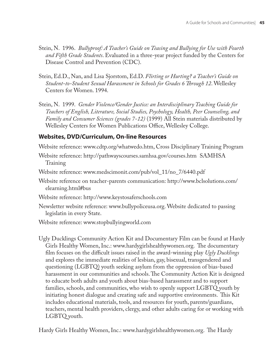- Stein, N. 1996. *Bullyproof: A Teacher's Guide on Teasing and Bullying for Use with Fourth and Fifth Grade Students*. Evaluated in a three-year project funded by the Centers for Disease Control and Prevention (CDC).
- Stein, Ed.D., Nan, and Lisa Sjorstom, Ed.D. *Flirting or Hurting? a Teacher's Guide on Student-to-Student Sexual Harassment in Schools for Grades 6 Th rough 12*. Wellesley Centers for Women. 1994.
- Stein, N. 1999. *Gender Violence/Gender Justice: an Interdisciplinary Teaching Guide for Teachers of English, Literature, Social Studies, Psychology, Health, Peer Counseling, and Family and Consumer Sciences (grades 7-12)* (1999) All Stein materials distributed by Wellesley Centers for Women Publications Office, Wellesley College.

### **Websites, DVD/Curriculum, On-line Resources**

Website reference: www.cdtp.org/whatwedo.htm, Cross Disciplinary Training Program

- Website reference: http://pathwayscourses.samhsa.gov/courses.htm SAMHSA Training
- Website reference: www.medscimonit.com/pub/vol\_11/no\_7/6440.pdf
- Website reference on teacher-parents communication: http://www.bclsolutions.com/ elearning.html#bus
- Website reference: http://www.keystosaferschools.com
- Newsletter website reference: www.bullypoliceusa.org. Website dedicated to passing legislatin in every State.
- Website reference: www.stopbullyingworld.com

Ugly Ducklings Community Action Kit and Documentary Film can be found at Hardy Girls Healthy Women, Inc.: www.hardygirlshealthywomen.org. The documentary film focuses on the difficult issues raised in the award-winning play *Ugly Ducklings* and explores the immediate realities of lesbian, gay, bisexual, transgendered and questioning (LGBTQ) youth seeking asylum from the oppression of bias-based harassment in our communities and schools. The Community Action Kit is designed to educate both adults and youth about bias-based harassment and to support families, schools, and communities, who wish to openly support LGBTQ youth by initiating honest dialogue and creating safe and supportive environments. This Kit includes educational materials, tools, and resources for youth, parents/guardians, teachers, mental health providers, clergy, and other adults caring for or working with LGBTQ youth.

Hardy Girls Healthy Women, Inc.: www.hardygirlshealthywomen.org. The Hardy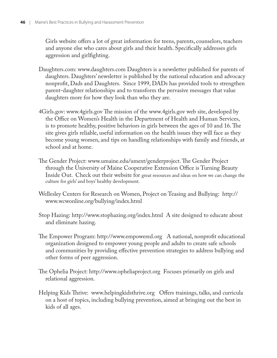Girls website offers a lot of great information for teens, parents, counselors, teachers and anyone else who cares about girls and their health. Specifically addresses girls aggression and girlfighting.

- Daughters.com: www.daughters.com Daughters is a newsletter published for parents of daughters. Daughters' newsletter is published by the national education and advocacy nonprofit, Dads and Daughters. Since 1999, DADs has provided tools to strengthen parent-daughter relationships and to transform the pervasive messages that value daughters more for how they look than who they are.
- 4Girls.gov: www.4girls.gov The mission of the www.4girls.gov web site, developed by the Office on Women's Health in the Department of Health and Human Services, is to promote healthy, positive behaviors in girls between the ages of 10 and 16. The site gives girls reliable, useful information on the health issues they will face as they become young women, and tips on handling relationships with family and friends, at school and at home.
- The Gender Project: www.umaine.edu/umext/genderproject. The Gender Project through the University of Maine Cooperative Extension Office is Turning Beauty Inside Out. Check out their website for great resources and ideas on how we can change the culture for girls' and boys' healthy development.
- Wellesley Centers for Research on Women, Project on Teasing and Bullying: http:// www.wcwonline.org/bullying/index.html
- Stop Hazing: http://www.stophazing.org/index.html A site designed to educate about and eliminate hazing.
- The Empower Program: http://www.empowered.org A national, nonprofit educational organization designed to empower young people and adults to create safe schools and communities by providing effective prevention strategies to address bullying and other forms of peer aggression.
- The Ophelia Project: http://www.opheliaproject.org Focuses primarily on girls and relational aggression.
- Helping Kids Thrive: www.helpingkidsthrive.org Offers trainings, talks, and curricula on a host of topics, including bullying prevention, aimed at bringing out the best in kids of all ages.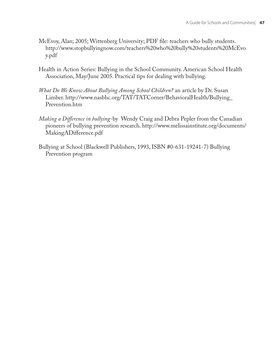- McEvoy, Alan; 2005; Wittenberg University; PDF file: teachers who bully students. http://www.stopbullyingnow.com/teachers%20who%20bully%20students%20McEvo y.pdf
- Health in Action Series: Bullying in the School Community. American School Health Association, May/June 2005. Practical tips for dealing with bullying.
- *What Do We Know About Bullying Among School Children?* an article by Dr. Susan Limber. http://www.nasbhc.org/TAT/TATCorner/BehavioralHealth/Bullying\_ Prevention.htm
- *Making a Difference in bullying-by* Wendy Craig and Debra Pepler from the Canadian pioneers of bullying prevention research. http://www.melissainstitute.org/documents/ MakingADifference.pdf
- Bullying at School (Blackwell Publishers, 1993, ISBN #0-631-19241-7) Bullying Prevention program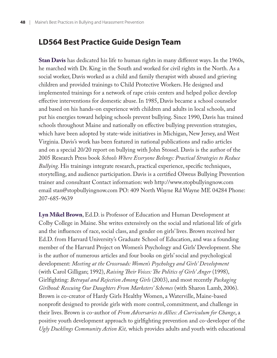### **LD564 Best Practice Guide Design Team**

**Stan Davis** has dedicated his life to human rights in many different ways. In the 1960s, he marched with Dr. King in the South and worked for civil rights in the North. As a social worker, Davis worked as a child and family therapist with abused and grieving children and provided trainings to Child Protective Workers. He designed and implemented trainings for a network of rape crisis centers and helped police develop effective interventions for domestic abuse. In 1985, Davis became a school counselor and based on his hands-on experience with children and adults in local schools, and put his energies toward helping schools prevent bullying. Since 1990, Davis has trained schools throughout Maine and nationally on effective bullying prevention strategies, which have been adopted by state-wide initiatives in Michigan, New Jersey, and West Virginia. Davis's work has been featured in national publications and radio articles and on a special 20/20 report on bullying with John Stossel. Davis is the author of the 2005 Research Press book *Schools Where Everyone Belongs: Practical Strategies to Reduce Bullying*. His trainings integrate research, practical experience, specific techniques, storytelling, and audience participation. Davis is a certified Olweus Bullying Prevention trainer and consultant Contact information: web http://www.stopbullyingnow.com email stan@stopbullyingnow.com PO: 409 North Wayne Rd Wayne ME 04284 Phone: 207-685-9639

**Lyn Mikel Brown**, Ed.D. is Professor of Education and Human Development at Colby College in Maine. She writes extensively on the social and relational life of girls and the influences of race, social class, and gender on girls' lives. Brown received her Ed.D. from Harvard University's Graduate School of Education, and was a founding member of the Harvard Project on Women's Psychology and Girls' Development. She is the author of numerous articles and four books on girls' social and psychological development: *Meeting at the Crossroads: Women's Psychology and Girls' Development* (with Carol Gilligan; 1992), *Raising Their Voices: The Politics of Girls' Anger* (1998), Girlfighting: *Betrayal and Rejection Among Girls* (2003), and most recently *Packaging Girlhood: Rescuing Our Daughters From Marketers' Schemes* (with Sharon Lamb, 2006). Brown is co-creator of Hardy Girls Healthy Women, a Waterville, Maine-based nonprofit designed to provide girls with more control, commitment, and challenge in their lives. Brown is co-author of *From Adversaries to Allies: A Curriculum for Change*, a positive youth development approach to girlfighting prevention and co-developer of the *Ugly Ducklings Community Action Kit,* which provides adults and youth with educational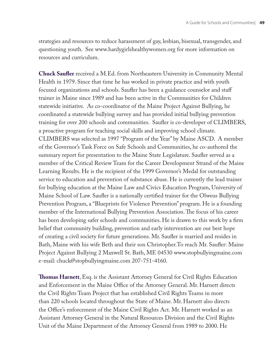strategies and resources to reduce harassment of gay, lesbian, bisexual, transgender, and questioning youth. See www.hardygirlshealthywomen.org for more information on resources and curriculum.

**Chuck Saufler** received a M.Ed. from Northeastern University in Community Mental Health in 1979. Since that time he has worked in private practice and with youth focused organizations and schools. Saufler has been a guidance counselor and staff trainer in Maine since 1989 and has been active in the Communities for Children statewide initiative. As co-coordinator of the Maine Project Against Bullying, he coordinated a statewide bullying survey and has provided initial bullying prevention training for over 200 schools and communities. Saufler is co-developer of CLIMBERS, a proactive program for teaching social skills and improving school climate. CLIMBERS was selected as 1997 "Program of the Year" by Maine ASCD. A member of the Governor's Task Force on Safe Schools and Communities, he co-authored the summary report for presentation to the Maine State Legislature. Saufler served as a member of the Critical Review Team for the Career Development Strand of the Maine Learning Results. He is the recipient of the 1999 Governor's Medal for outstanding service to education and prevention of substance abuse. He is currently the lead trainer for bullying education at the Maine Law and Civics Education Program, University of Maine School of Law. Saufler is a nationally certified trainer for the Olweus Bullying Prevention Program, a "Blueprints for Violence Prevention" program. He is a founding member of the International Bullying Prevention Association. The focus of his career has been developing safer schools and communities. He is drawn to this work by a firm belief that community building, prevention and early intervention are our best hope of creating a civil society for future generations. Mr. Saufler is married and resides in Bath, Maine with his wife Beth and their son Christopher. To reach Mr. Saufler: Maine Project Against Bullying 2 Maxwell St. Bath, ME 04530 www.stopbullyingmaine.com e-mail: chuck@stopbullyingmaine.com 207-751-4160.

**Thomas Harnett**, Esq. is the Assistant Attorney General for Civil Rights Education and Enforcement in the Maine Office of the Attorney General. Mr. Harnett directs the Civil Rights Team Project that has established Civil Rights Teams in more than 220 schools located throughout the State of Maine. Mr. Harnett also directs the Office's enforcement of the Maine Civil Rights Act. Mr. Harnett worked as an Assistant Attorney General in the Natural Resources Division and the Civil Rights Unit of the Maine Department of the Attorney General from 1989 to 2000. He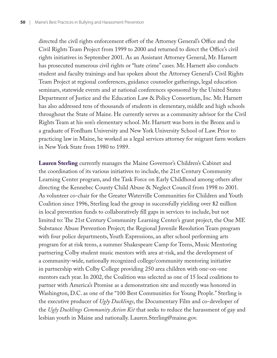directed the civil rights enforcement effort of the Attorney General's Office and the Civil Rights Team Project from 1999 to 2000 and returned to direct the Office's civil rights initiatives in September 2001. As an Assistant Attorney General, Mr. Harnett has prosecuted numerous civil rights or "hate crime" cases. Mr. Harnett also conducts student and faculty trainings and has spoken about the Attorney General's Civil Rights Team Project at regional conferences, guidance counselor gatherings, legal education seminars, statewide events and at national conferences sponsored by the United States Department of Justice and the Education Law & Policy Consortium, Inc. Mr. Harnett has also addressed tens of thousands of students in elementary, middle and high schools throughout the State of Maine. He currently serves as a community advisor for the Civil Rights Team at his son's elementary school. Mr. Harnett was born in the Bronx and is a graduate of Fordham University and New York University School of Law. Prior to practicing law in Maine, he worked as a legal services attorney for migrant farm workers in New York State from 1980 to 1989.

**Lauren Sterling** currently manages the Maine Governor's Children's Cabinet and the coordination of its various initiatives to include, the 21st Century Community Learning Center program, and the Task Force on Early Childhood among others after directing the Kennebec County Child Abuse & Neglect Council from 1998 to 2001. As volunteer co-chair for the Greater Waterville Communities for Children and Youth Coalition since 1996, Sterling lead the group in successfully yielding over \$2 million in local prevention funds to collaboratively fill gaps in services to include, but not limited to: The 21st Century Community Learning Center's grant project, the One ME Substance Abuse Prevention Project; the Regional Juvenile Resolution Team program with four police departments, Youth Expressions, an after school performing arts program for at risk teens, a summer Shakespeare Camp for Teens, Music Mentoring partnering Colby student music mentors with area at-risk, and the development of a community-wide, nationally recognized college/community mentoring initiative in partnership with Colby College providing 250 area children with one-on-one mentors each year. In 2002, the Coalition was selected as one of 15 local coalitions to partner with America's Promise as a demonstration site and recently was honored in Washington, D.C. as one of the "100 Best Communities for Young People." Sterling is the executive producer of *Ugly Ducklings*, the Documentary Film and co-developer of the *Ugly Ducklings Community Action Kit* that seeks to reduce the harassment of gay and lesbian youth in Maine and nationally. Lauren.Sterling@maine.gov.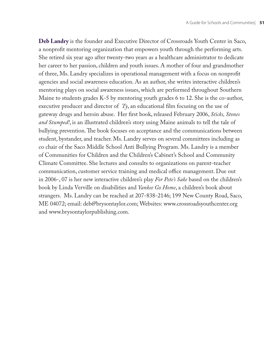**Deb Landry** is the founder and Executive Director of Crossroads Youth Center in Saco, a nonprofit mentoring organization that empowers youth through the performing arts. She retired six year ago after twenty-two years as a healthcare administrator to dedicate her career to her passion, children and youth issues. A mother of four and grandmother of three, Ms. Landry specializes in operational management with a focus on nonprofit agencies and social awareness education. As an author, she writes interactive children's mentoring plays on social awareness issues, which are performed throughout Southern Maine to students grades K-5 by mentoring youth grades 6 to 12. She is the co-author, executive producer and director of  $Ty$ , an educational film focusing on the use of gateway drugs and heroin abuse. Her first book, released February 2006, Sticks, Stones *and Stumped!*, is an illustrated children's story using Maine animals to tell the tale of bullying prevention. The book focuses on acceptance and the communications between student, bystander, and teacher. Ms. Landry serves on several committees including as co chair of the Saco Middle School Anti Bullying Program. Ms. Landry is a member of Communities for Children and the Children's Cabinet's School and Community Climate Committee. She lectures and consults to organizations on parent-teacher communication, customer service training and medical office management. Due out in 2006-, 07 is her new interactive children's play *For Pete's Sake* based on the children's book by Linda Verville on disabilities and *Yankee Go Home*, a children's book about strangers. Ms. Landry can be reached at 207-838-2146; 199 New County Road, Saco, ME 04072; email: deb@brysontaylor.com; Websites: www.crossroadsyouthcenter.org and www.brysontaylorpublishing.com.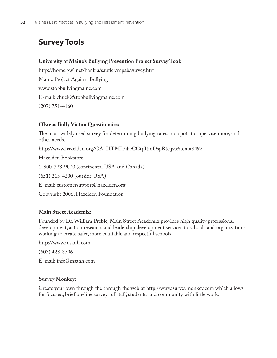## **Survey Tools**

### **University of Maine's Bullying Prevention Project Survey Tool:**

http://home.gwi.net/hankla/saufler/mpab/survey.htm Maine Project Against Bullying www.stopbullyingmaine.com E-mail: chuck@stopbullyingmaine.com (207) 751-4160

### **Olweus Bully Victim Questionaire:**

The most widely used survey for determining bullying rates, hot spots to supervise more, and other needs.

http://www.hazelden.org/OA\_HTML/ibeCCtpItmDspRte.jsp?item=8492

Hazelden Bookstore

1-800-328-9000 (continental USA and Canada)

(651) 213-4200 (outside USA)

E-mail: customersupport@hazelden.org

Copyright 2006, Hazelden Foundation

### **Main Street Academix:**

Founded by Dr. William Preble, Main Street Academix provides high quality professional development, action research, and leadership development services to schools and organizations working to create safer, more equitable and respectful schools.

http://www.msanh.com

(603) 428-8706

E-mail: info@msanh.com

### **Survey Monkey:**

Create your own through the through the web at http://www.surveymonkey.com which allows for focused, brief on-line surveys of staff, students, and community with little work.